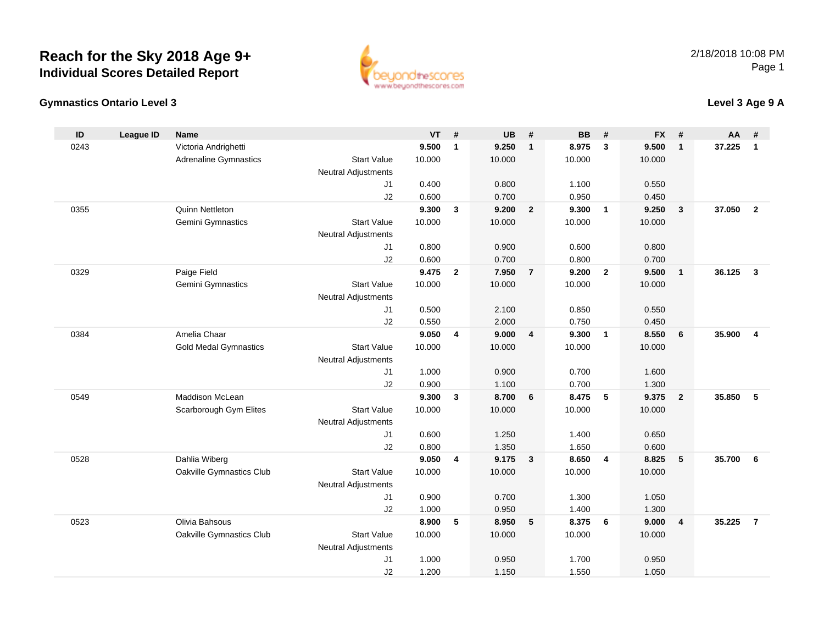



### **Level 3 Age 9 A**

| ID   | <b>League ID</b> | <b>Name</b>                               |                                  | <b>VT</b>       | #            | <b>UB</b>       | #                       | <b>BB</b>       | #                       | <b>FX</b>       | #                       | AA     | #              |
|------|------------------|-------------------------------------------|----------------------------------|-----------------|--------------|-----------------|-------------------------|-----------------|-------------------------|-----------------|-------------------------|--------|----------------|
| 0243 |                  | Victoria Andrighetti                      |                                  | 9.500           | $\mathbf{1}$ | 9.250           | $\mathbf{1}$            | 8.975           | $\mathbf{3}$            | 9.500           | $\mathbf{1}$            | 37.225 | $\mathbf{1}$   |
|      |                  | <b>Adrenaline Gymnastics</b>              | <b>Start Value</b>               | 10.000          |              | 10.000          |                         | 10.000          |                         | 10.000          |                         |        |                |
|      |                  |                                           | <b>Neutral Adjustments</b>       |                 |              |                 |                         |                 |                         |                 |                         |        |                |
|      |                  |                                           | J1                               | 0.400           |              | 0.800           |                         | 1.100           |                         | 0.550           |                         |        |                |
|      |                  |                                           | J2                               | 0.600           |              | 0.700           |                         | 0.950           |                         | 0.450           |                         |        |                |
| 0355 |                  | Quinn Nettleton                           |                                  | 9.300           | 3            | 9.200           | $\overline{\mathbf{2}}$ | 9.300           | $\overline{\mathbf{1}}$ | 9.250           | $\overline{\mathbf{3}}$ | 37.050 | $\overline{2}$ |
|      |                  | Gemini Gymnastics                         | <b>Start Value</b>               | 10.000          |              | 10.000          |                         | 10.000          |                         | 10.000          |                         |        |                |
|      |                  |                                           | <b>Neutral Adjustments</b>       |                 |              |                 |                         |                 |                         |                 |                         |        |                |
|      |                  |                                           | J1                               | 0.800           |              | 0.900           |                         | 0.600           |                         | 0.800           |                         |        |                |
|      |                  |                                           | J2                               | 0.600           |              | 0.700           |                         | 0.800           |                         | 0.700           |                         |        |                |
| 0329 |                  | Paige Field                               |                                  | 9.475           | $\mathbf{2}$ | 7.950           | $\overline{7}$          | 9.200           | $\overline{2}$          | 9.500           | $\mathbf{1}$            | 36.125 | $\mathbf{3}$   |
|      |                  | Gemini Gymnastics                         | <b>Start Value</b>               | 10.000          |              | 10.000          |                         | 10.000          |                         | 10.000          |                         |        |                |
|      |                  |                                           | <b>Neutral Adjustments</b>       |                 |              |                 |                         |                 |                         |                 |                         |        |                |
|      |                  |                                           | J1                               | 0.500           |              | 2.100           |                         | 0.850           |                         | 0.550           |                         |        |                |
|      |                  |                                           | J2                               | 0.550           |              | 2.000           |                         | 0.750           |                         | 0.450           |                         |        |                |
| 0384 |                  | Amelia Chaar                              |                                  | 9.050           | 4            | 9.000           | 4                       | 9.300           | $\overline{\mathbf{1}}$ | 8.550           | 6                       | 35.900 | $\overline{4}$ |
|      |                  | <b>Gold Medal Gymnastics</b>              | <b>Start Value</b>               | 10.000          |              | 10.000          |                         | 10.000          |                         | 10.000          |                         |        |                |
|      |                  |                                           | Neutral Adjustments              |                 |              |                 |                         |                 |                         |                 |                         |        |                |
|      |                  |                                           | J1                               | 1.000           |              | 0.900           |                         | 0.700           |                         | 1.600           |                         |        |                |
|      |                  |                                           | J2                               | 0.900           |              | 1.100           |                         | 0.700           |                         | 1.300           |                         |        |                |
| 0549 |                  | Maddison McLean                           |                                  | 9.300           | $\mathbf{3}$ | 8.700           | $6\phantom{.}6$         | 8.475           | $-5$                    | 9.375           | $\overline{2}$          | 35.850 | 5              |
|      |                  | Scarborough Gym Elites                    | <b>Start Value</b>               | 10.000          |              | 10.000          |                         | 10.000          |                         | 10.000          |                         |        |                |
|      |                  |                                           | <b>Neutral Adjustments</b>       |                 |              |                 |                         |                 |                         |                 |                         |        |                |
|      |                  |                                           | J1                               | 0.600           |              | 1.250           |                         | 1.400           |                         | 0.650           |                         |        |                |
|      |                  |                                           | J2                               | 0.800           |              | 1.350           |                         | 1.650           |                         | 0.600           |                         |        |                |
| 0528 |                  | Dahlia Wiberg<br>Oakville Gymnastics Club | <b>Start Value</b>               | 9.050<br>10.000 | 4            | 9.175<br>10.000 | $\mathbf{3}$            | 8.650<br>10.000 | $\overline{4}$          | 8.825<br>10.000 | 5                       | 35.700 | 6              |
|      |                  |                                           |                                  |                 |              |                 |                         |                 |                         |                 |                         |        |                |
|      |                  |                                           | <b>Neutral Adjustments</b><br>J1 | 0.900           |              | 0.700           |                         | 1.300           |                         | 1.050           |                         |        |                |
|      |                  |                                           | J2                               | 1.000           |              | 0.950           |                         | 1.400           |                         | 1.300           |                         |        |                |
| 0523 |                  | Olivia Bahsous                            |                                  | 8.900           | 5            | 8.950           | $5\phantom{.0}$         | 8.375           | $6\phantom{1}6$         | 9.000           | $\overline{4}$          | 35.225 | $\overline{7}$ |
|      |                  |                                           | <b>Start Value</b>               | 10.000          |              | 10.000          |                         | 10.000          |                         |                 |                         |        |                |
|      |                  | Oakville Gymnastics Club                  | Neutral Adjustments              |                 |              |                 |                         |                 |                         | 10.000          |                         |        |                |
|      |                  |                                           | J1                               | 1.000           |              | 0.950           |                         | 1.700           |                         | 0.950           |                         |        |                |
|      |                  |                                           | J2                               | 1.200           |              | 1.150           |                         | 1.550           |                         | 1.050           |                         |        |                |
|      |                  |                                           |                                  |                 |              |                 |                         |                 |                         |                 |                         |        |                |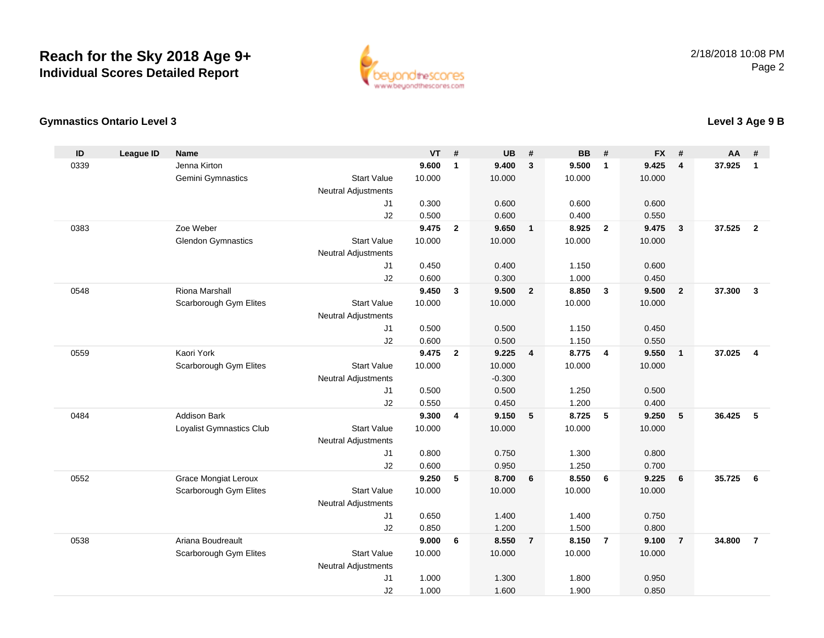

#### **Gymnastics Ontario Level 3**

| ID   | <b>League ID</b> | <b>Name</b>                 |                                  | <b>VT</b>      | #              | <b>UB</b>      | #                       | <b>BB</b>      | #                       | <b>FX</b>      | #                | <b>AA</b> | #                       |
|------|------------------|-----------------------------|----------------------------------|----------------|----------------|----------------|-------------------------|----------------|-------------------------|----------------|------------------|-----------|-------------------------|
| 0339 |                  | Jenna Kirton                |                                  | 9.600          | $\mathbf{1}$   | 9.400          | $\mathbf{3}$            | 9.500          | $\overline{1}$          | 9.425          | 4                | 37.925    | $\mathbf{1}$            |
|      |                  | Gemini Gymnastics           | <b>Start Value</b>               | 10.000         |                | 10.000         |                         | 10.000         |                         | 10.000         |                  |           |                         |
|      |                  |                             | <b>Neutral Adjustments</b>       |                |                |                |                         |                |                         |                |                  |           |                         |
|      |                  |                             | J <sub>1</sub>                   | 0.300          |                | 0.600          |                         | 0.600          |                         | 0.600          |                  |           |                         |
|      |                  |                             | J2                               | 0.500          |                | 0.600          |                         | 0.400          |                         | 0.550          |                  |           |                         |
| 0383 |                  | Zoe Weber                   |                                  | 9.475          | $\overline{2}$ | 9.650          | $\overline{\mathbf{1}}$ | 8.925          | $\overline{\mathbf{2}}$ | 9.475          | 3                | 37.525    | $\overline{\mathbf{2}}$ |
|      |                  | <b>Glendon Gymnastics</b>   | <b>Start Value</b>               | 10.000         |                | 10.000         |                         | 10.000         |                         | 10.000         |                  |           |                         |
|      |                  |                             | <b>Neutral Adjustments</b>       |                |                |                |                         |                |                         |                |                  |           |                         |
|      |                  |                             | J1                               | 0.450          |                | 0.400          |                         | 1.150          |                         | 0.600          |                  |           |                         |
|      |                  |                             | J2                               | 0.600          |                | 0.300          |                         | 1.000          |                         | 0.450          |                  |           |                         |
| 0548 |                  | Riona Marshall              |                                  | 9.450          | 3              | 9.500          | $\overline{2}$          | 8.850          | 3                       | 9.500          | $\boldsymbol{2}$ | 37.300    | $\mathbf{3}$            |
|      |                  | Scarborough Gym Elites      | <b>Start Value</b>               | 10.000         |                | 10.000         |                         | 10.000         |                         | 10.000         |                  |           |                         |
|      |                  |                             | <b>Neutral Adjustments</b>       |                |                |                |                         |                |                         |                |                  |           |                         |
|      |                  |                             | J1                               | 0.500          |                | 0.500          |                         | 1.150          |                         | 0.450          |                  |           |                         |
|      |                  |                             | J2                               | 0.600          |                | 0.500          |                         | 1.150          |                         | 0.550          |                  |           |                         |
| 0559 |                  | Kaori York                  |                                  | 9.475          | $\mathbf{2}$   | 9.225          | $\overline{4}$          | 8.775          | $\overline{\mathbf{4}}$ | 9.550          | $\mathbf{1}$     | 37.025    | $\overline{4}$          |
|      |                  | Scarborough Gym Elites      | <b>Start Value</b>               | 10.000         |                | 10.000         |                         | 10.000         |                         | 10.000         |                  |           |                         |
|      |                  |                             | <b>Neutral Adjustments</b>       |                |                | $-0.300$       |                         |                |                         |                |                  |           |                         |
|      |                  |                             | J <sub>1</sub>                   | 0.500          |                | 0.500          |                         | 1.250          |                         | 0.500          |                  |           |                         |
|      |                  |                             | J2                               | 0.550          |                | 0.450          |                         | 1.200          |                         | 0.400          |                  |           |                         |
| 0484 |                  | <b>Addison Bark</b>         |                                  | 9.300          | 4              | 9.150          | $5\phantom{.0}$         | 8.725          | 5                       | 9.250          | $5\phantom{.0}$  | 36.425    | 5                       |
|      |                  | Loyalist Gymnastics Club    | <b>Start Value</b>               | 10.000         |                | 10.000         |                         | 10.000         |                         | 10.000         |                  |           |                         |
|      |                  |                             | <b>Neutral Adjustments</b>       |                |                |                |                         |                |                         |                |                  |           |                         |
|      |                  |                             | J1                               | 0.800          |                | 0.750          |                         | 1.300          |                         | 0.800          |                  |           |                         |
|      |                  |                             | J2                               | 0.600          |                | 0.950          |                         | 1.250          |                         | 0.700          |                  |           |                         |
| 0552 |                  | <b>Grace Mongiat Leroux</b> |                                  | 9.250          | $\sqrt{5}$     | 8.700          | 6                       | 8.550          | 6                       | 9.225          | $\bf 6$          | 35.725    | $6\phantom{1}6$         |
|      |                  | Scarborough Gym Elites      | <b>Start Value</b>               | 10.000         |                | 10.000         |                         | 10.000         |                         | 10.000         |                  |           |                         |
|      |                  |                             | <b>Neutral Adjustments</b>       |                |                |                |                         |                |                         |                |                  |           |                         |
|      |                  |                             | J1                               | 0.650          |                | 1.400          |                         | 1.400          |                         | 0.750          |                  |           |                         |
| 0538 |                  | Ariana Boudreault           | J2                               | 0.850<br>9.000 | 6              | 1.200<br>8.550 | $\overline{7}$          | 1.500<br>8.150 | $\overline{7}$          | 0.800<br>9.100 | $\overline{7}$   | 34.800    | $\overline{7}$          |
|      |                  |                             |                                  |                |                |                |                         |                |                         |                |                  |           |                         |
|      |                  | Scarborough Gym Elites      | <b>Start Value</b>               | 10.000         |                | 10.000         |                         | 10.000         |                         | 10.000         |                  |           |                         |
|      |                  |                             | <b>Neutral Adjustments</b><br>J1 | 1.000          |                | 1.300          |                         | 1.800          |                         | 0.950          |                  |           |                         |
|      |                  |                             | J2                               | 1.000          |                | 1.600          |                         | 1.900          |                         | 0.850          |                  |           |                         |
|      |                  |                             |                                  |                |                |                |                         |                |                         |                |                  |           |                         |

### **Level 3 Age 9 B**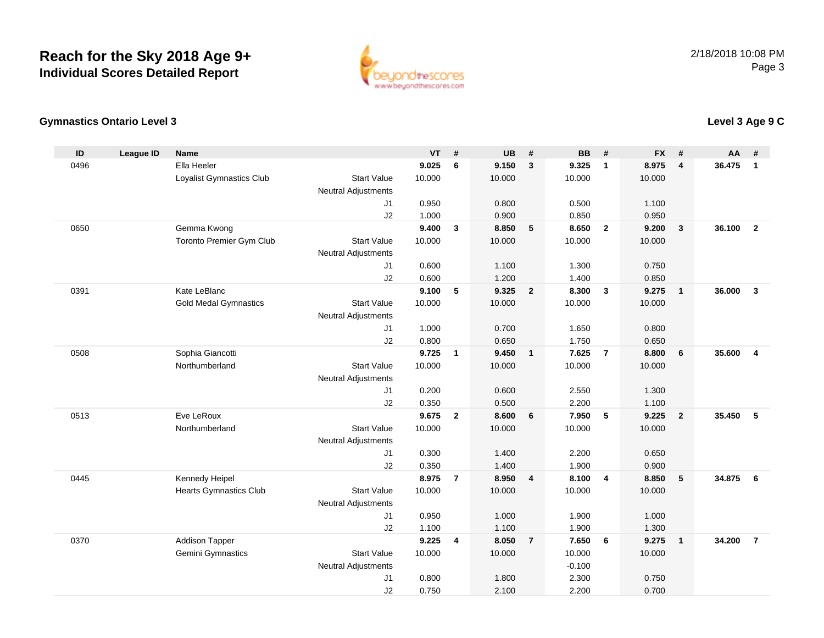

#### **Gymnastics Ontario Level 3**

| ID   | <b>League ID</b> | <b>Name</b>                                  |                            | <b>VT</b>       | #              | <b>UB</b>       | #                       | <b>BB</b>       | #                       | <b>FX</b>       | #              | <b>AA</b> | #                       |
|------|------------------|----------------------------------------------|----------------------------|-----------------|----------------|-----------------|-------------------------|-----------------|-------------------------|-----------------|----------------|-----------|-------------------------|
| 0496 |                  | Ella Heeler                                  |                            | 9.025           | 6              | 9.150           | 3                       | 9.325           | $\mathbf{1}$            | 8.975           | 4              | 36.475    | $\mathbf{1}$            |
|      |                  | Loyalist Gymnastics Club                     | <b>Start Value</b>         | 10.000          |                | 10.000          |                         | 10.000          |                         | 10.000          |                |           |                         |
|      |                  |                                              | <b>Neutral Adjustments</b> |                 |                |                 |                         |                 |                         |                 |                |           |                         |
|      |                  |                                              | J <sub>1</sub>             | 0.950           |                | 0.800           |                         | 0.500           |                         | 1.100           |                |           |                         |
|      |                  |                                              | J2                         | 1.000           |                | 0.900           |                         | 0.850           |                         | 0.950           |                |           |                         |
| 0650 |                  | Gemma Kwong                                  |                            | 9.400           | $\mathbf{3}$   | 8.850           | $-5$                    | 8.650           | $\overline{2}$          | 9.200           | $\mathbf{3}$   | 36.100    | $\overline{2}$          |
|      |                  | Toronto Premier Gym Club                     | <b>Start Value</b>         | 10.000          |                | 10.000          |                         | 10.000          |                         | 10.000          |                |           |                         |
|      |                  |                                              | <b>Neutral Adjustments</b> |                 |                |                 |                         |                 |                         |                 |                |           |                         |
|      |                  |                                              | J1                         | 0.600           |                | 1.100           |                         | 1.300           |                         | 0.750           |                |           |                         |
|      |                  |                                              | J2                         | 0.600           |                | 1.200           |                         | 1.400           |                         | 0.850           |                |           |                         |
| 0391 |                  | Kate LeBlanc<br><b>Gold Medal Gymnastics</b> | <b>Start Value</b>         | 9.100<br>10.000 | 5              | 9.325<br>10.000 | $\overline{2}$          | 8.300<br>10.000 | $\overline{\mathbf{3}}$ | 9.275<br>10.000 | $\mathbf{1}$   | 36.000    | $\mathbf{3}$            |
|      |                  |                                              | <b>Neutral Adjustments</b> |                 |                |                 |                         |                 |                         |                 |                |           |                         |
|      |                  |                                              | J <sub>1</sub>             | 1.000           |                | 0.700           |                         | 1.650           |                         | 0.800           |                |           |                         |
|      |                  |                                              | J2                         | 0.800           |                | 0.650           |                         | 1.750           |                         | 0.650           |                |           |                         |
| 0508 |                  | Sophia Giancotti                             |                            | 9.725           | $\mathbf{1}$   | 9.450           | $\overline{\mathbf{1}}$ | 7.625           | $\overline{7}$          | 8.800           | 6              | 35.600    | $\overline{\mathbf{4}}$ |
|      |                  | Northumberland                               | <b>Start Value</b>         | 10.000          |                | 10.000          |                         | 10.000          |                         | 10.000          |                |           |                         |
|      |                  |                                              | <b>Neutral Adjustments</b> |                 |                |                 |                         |                 |                         |                 |                |           |                         |
|      |                  |                                              | J1                         | 0.200           |                | 0.600           |                         | 2.550           |                         | 1.300           |                |           |                         |
|      |                  |                                              | J2                         | 0.350           |                | 0.500           |                         | 2.200           |                         | 1.100           |                |           |                         |
| 0513 |                  | Eve LeRoux                                   |                            | 9.675           | $\mathbf{2}$   | 8.600           | $6\phantom{1}6$         | 7.950           | 5                       | 9.225           | $\overline{2}$ | 35.450    | 5                       |
|      |                  | Northumberland                               | <b>Start Value</b>         | 10.000          |                | 10.000          |                         | 10.000          |                         | 10.000          |                |           |                         |
|      |                  |                                              | <b>Neutral Adjustments</b> |                 |                |                 |                         |                 |                         |                 |                |           |                         |
|      |                  |                                              | J1                         | 0.300           |                | 1.400           |                         | 2.200           |                         | 0.650           |                |           |                         |
|      |                  |                                              | J2                         | 0.350           |                | 1.400           |                         | 1.900           |                         | 0.900           |                |           |                         |
| 0445 |                  | Kennedy Heipel                               |                            | 8.975           | $\overline{7}$ | 8.950           | $\overline{\mathbf{4}}$ | 8.100           | $\overline{4}$          | 8.850           | 5              | 34.875    | 6                       |
|      |                  | <b>Hearts Gymnastics Club</b>                | <b>Start Value</b>         | 10.000          |                | 10.000          |                         | 10.000          |                         | 10.000          |                |           |                         |
|      |                  |                                              | <b>Neutral Adjustments</b> |                 |                |                 |                         |                 |                         |                 |                |           |                         |
|      |                  |                                              | J1                         | 0.950           |                | 1.000           |                         | 1.900           |                         | 1.000           |                |           |                         |
|      |                  |                                              | J2                         | 1.100           |                | 1.100           |                         | 1.900           |                         | 1.300           |                |           |                         |
| 0370 |                  | <b>Addison Tapper</b>                        |                            | 9.225           | 4              | 8.050           | $\overline{7}$          | 7.650           | 6                       | 9.275           | $\overline{1}$ | 34.200    | $\overline{7}$          |
|      |                  | Gemini Gymnastics                            | <b>Start Value</b>         | 10.000          |                | 10.000          |                         | 10.000          |                         | 10.000          |                |           |                         |
|      |                  |                                              | <b>Neutral Adjustments</b> |                 |                |                 |                         | $-0.100$        |                         |                 |                |           |                         |
|      |                  |                                              | J1<br>J2                   | 0.800<br>0.750  |                | 1.800<br>2.100  |                         | 2.300<br>2.200  |                         | 0.750<br>0.700  |                |           |                         |
|      |                  |                                              |                            |                 |                |                 |                         |                 |                         |                 |                |           |                         |

## **Level 3 Age 9 C**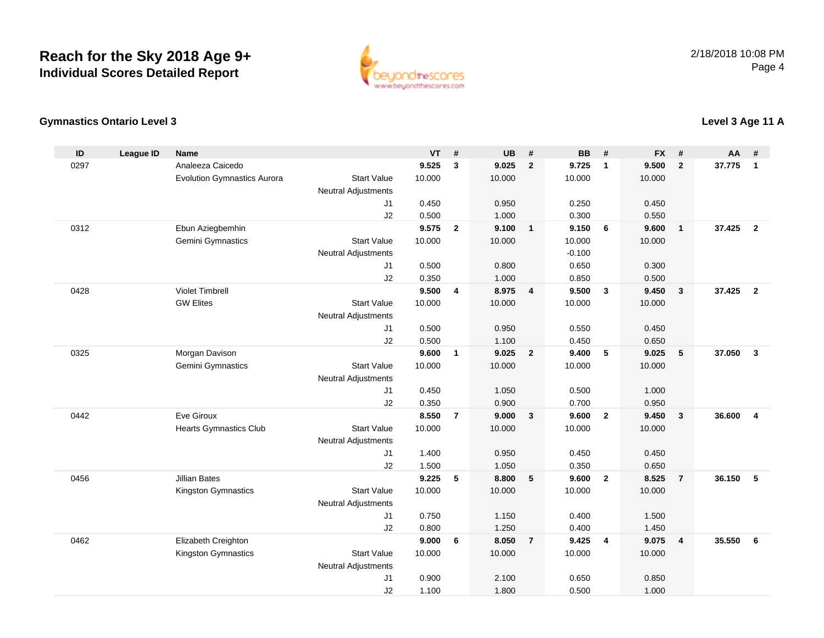

### **Gymnastics Ontario Level 3**

| ID   | <b>League ID</b> | <b>Name</b>                        |                                              | <b>VT</b> | #              | <b>UB</b>      | #                       | <b>BB</b> | #                       | <b>FX</b> | #              | <b>AA</b> | #                       |
|------|------------------|------------------------------------|----------------------------------------------|-----------|----------------|----------------|-------------------------|-----------|-------------------------|-----------|----------------|-----------|-------------------------|
| 0297 |                  | Analeeza Caicedo                   |                                              | 9.525     | 3              | 9.025          | $\overline{2}$          | 9.725     | $\mathbf{1}$            | 9.500     | $\overline{2}$ | 37.775    | $\mathbf{1}$            |
|      |                  | <b>Evolution Gymnastics Aurora</b> | <b>Start Value</b>                           | 10.000    |                | 10.000         |                         | 10.000    |                         | 10.000    |                |           |                         |
|      |                  |                                    | <b>Neutral Adjustments</b>                   |           |                |                |                         |           |                         |           |                |           |                         |
|      |                  |                                    | J <sub>1</sub>                               | 0.450     |                | 0.950          |                         | 0.250     |                         | 0.450     |                |           |                         |
|      |                  |                                    | J2                                           | 0.500     |                | 1.000          |                         | 0.300     |                         | 0.550     |                |           |                         |
| 0312 |                  | Ebun Aziegbemhin                   |                                              | 9.575     | $\overline{2}$ | 9.100          | $\overline{1}$          | 9.150     | 6                       | 9.600     | $\mathbf{1}$   | 37.425    | $\overline{2}$          |
|      |                  | Gemini Gymnastics                  | <b>Start Value</b>                           | 10.000    |                | 10.000         |                         | 10.000    |                         | 10.000    |                |           |                         |
|      |                  |                                    | <b>Neutral Adjustments</b>                   |           |                |                |                         | $-0.100$  |                         |           |                |           |                         |
|      |                  |                                    | J1                                           | 0.500     |                | 0.800          |                         | 0.650     |                         | 0.300     |                |           |                         |
|      |                  |                                    | J2                                           | 0.350     |                | 1.000          |                         | 0.850     |                         | 0.500     |                |           |                         |
| 0428 |                  | <b>Violet Timbrell</b>             |                                              | 9.500     | 4              | 8.975          | $\overline{4}$          | 9.500     | $\overline{\mathbf{3}}$ | 9.450     | $\mathbf{3}$   | 37.425    | $\overline{2}$          |
|      |                  | <b>GW Elites</b>                   | <b>Start Value</b>                           | 10.000    |                | 10.000         |                         | 10.000    |                         | 10.000    |                |           |                         |
|      |                  |                                    | <b>Neutral Adjustments</b><br>J <sub>1</sub> | 0.500     |                |                |                         | 0.550     |                         | 0.450     |                |           |                         |
|      |                  |                                    | J2                                           | 0.500     |                | 0.950<br>1.100 |                         | 0.450     |                         | 0.650     |                |           |                         |
| 0325 |                  | Morgan Davison                     |                                              | 9.600     | $\mathbf{1}$   | 9.025          | $\overline{\mathbf{2}}$ | 9.400     | ${\bf 5}$               | 9.025     | 5              | 37.050    | $\overline{\mathbf{3}}$ |
|      |                  | Gemini Gymnastics                  | <b>Start Value</b>                           | 10.000    |                | 10.000         |                         | 10.000    |                         | 10.000    |                |           |                         |
|      |                  |                                    | <b>Neutral Adjustments</b>                   |           |                |                |                         |           |                         |           |                |           |                         |
|      |                  |                                    | J1                                           | 0.450     |                | 1.050          |                         | 0.500     |                         | 1.000     |                |           |                         |
|      |                  |                                    | J2                                           | 0.350     |                | 0.900          |                         | 0.700     |                         | 0.950     |                |           |                         |
| 0442 |                  | Eve Giroux                         |                                              | 8.550     | $\overline{7}$ | 9.000          | $\overline{\mathbf{3}}$ | 9.600     | $\overline{2}$          | 9.450     | $\mathbf{3}$   | 36,600    | $\overline{\mathbf{4}}$ |
|      |                  | <b>Hearts Gymnastics Club</b>      | <b>Start Value</b>                           | 10.000    |                | 10.000         |                         | 10.000    |                         | 10.000    |                |           |                         |
|      |                  |                                    | <b>Neutral Adjustments</b>                   |           |                |                |                         |           |                         |           |                |           |                         |
|      |                  |                                    | J1                                           | 1.400     |                | 0.950          |                         | 0.450     |                         | 0.450     |                |           |                         |
|      |                  |                                    | J2                                           | 1.500     |                | 1.050          |                         | 0.350     |                         | 0.650     |                |           |                         |
| 0456 |                  | <b>Jillian Bates</b>               |                                              | 9.225     | 5              | 8.800          | 5                       | 9.600     | $\overline{2}$          | 8.525     | $\overline{7}$ | 36.150    | 5                       |
|      |                  | Kingston Gymnastics                | <b>Start Value</b>                           | 10.000    |                | 10.000         |                         | 10.000    |                         | 10.000    |                |           |                         |
|      |                  |                                    | <b>Neutral Adjustments</b>                   |           |                |                |                         |           |                         |           |                |           |                         |
|      |                  |                                    | J1                                           | 0.750     |                | 1.150          |                         | 0.400     |                         | 1.500     |                |           |                         |
|      |                  |                                    | J2                                           | 0.800     |                | 1.250          |                         | 0.400     |                         | 1.450     |                |           |                         |
| 0462 |                  | Elizabeth Creighton                |                                              | 9.000     | 6              | 8.050          | $\overline{7}$          | 9.425     | $\overline{4}$          | 9.075     | $\overline{4}$ | 35.550    | 6                       |
|      |                  | Kingston Gymnastics                | <b>Start Value</b>                           | 10.000    |                | 10.000         |                         | 10.000    |                         | 10.000    |                |           |                         |
|      |                  |                                    | <b>Neutral Adjustments</b>                   |           |                |                |                         |           |                         |           |                |           |                         |
|      |                  |                                    | J1                                           | 0.900     |                | 2.100          |                         | 0.650     |                         | 0.850     |                |           |                         |
|      |                  |                                    | J2                                           | 1.100     |                | 1.800          |                         | 0.500     |                         | 1.000     |                |           |                         |

### **Level 3 Age 11 A**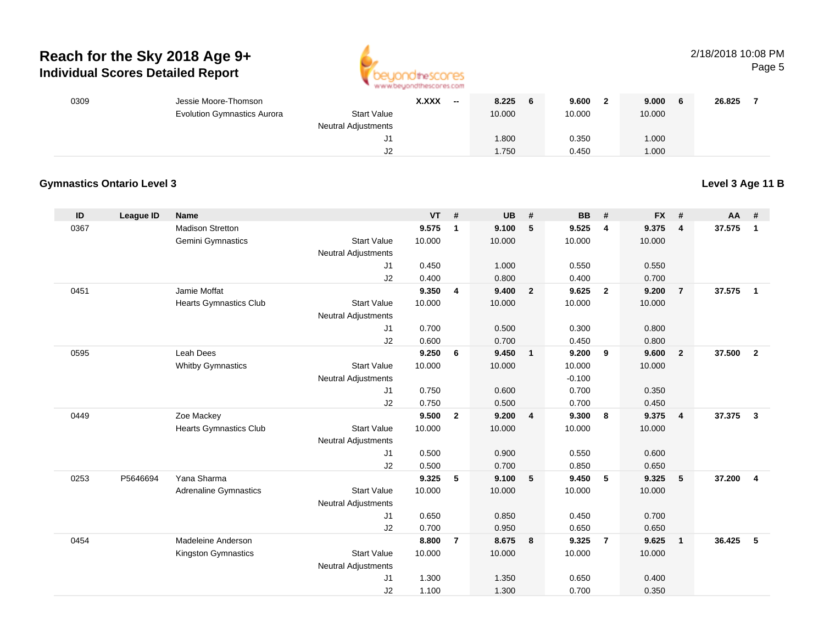

#### 2/18/2018 10:08 PMPage 5

| 0309 | Jessie Moore-Thomson               |                            | <b>X.XXX</b><br>$- -$ | 8.225<br>6 | 9.600  | 9.000  | 26.825 |
|------|------------------------------------|----------------------------|-----------------------|------------|--------|--------|--------|
|      | <b>Evolution Gymnastics Aurora</b> | <b>Start Value</b>         |                       | 10.000     | 10.000 | 10.000 |        |
|      |                                    | <b>Neutral Adjustments</b> |                       |            |        |        |        |
|      |                                    | J1                         |                       | 008.1      | 0.350  | 1.000  |        |
|      |                                    | J2                         |                       | 1.750      | 0.450  | 1.000  |        |

#### **Gymnastics Ontario Level 3**

**Level 3 Age 11 B**

| ID   | <b>League ID</b> | <b>Name</b>                   |                            | <b>VT</b> | #              | <b>UB</b> | #                       | <b>BB</b> | #              | <b>FX</b> | #              | AA     | #                       |
|------|------------------|-------------------------------|----------------------------|-----------|----------------|-----------|-------------------------|-----------|----------------|-----------|----------------|--------|-------------------------|
| 0367 |                  | <b>Madison Stretton</b>       |                            | 9.575     | 1              | 9.100     | 5                       | 9.525     | 4              | 9.375     | $\overline{4}$ | 37.575 | $\mathbf{1}$            |
|      |                  | Gemini Gymnastics             | <b>Start Value</b>         | 10.000    |                | 10.000    |                         | 10.000    |                | 10.000    |                |        |                         |
|      |                  |                               | <b>Neutral Adjustments</b> |           |                |           |                         |           |                |           |                |        |                         |
|      |                  |                               | J1                         | 0.450     |                | 1.000     |                         | 0.550     |                | 0.550     |                |        |                         |
|      |                  |                               | J2                         | 0.400     |                | 0.800     |                         | 0.400     |                | 0.700     |                |        |                         |
| 0451 |                  | Jamie Moffat                  |                            | 9.350     | 4              | 9.400     | $\overline{2}$          | 9.625     | $\overline{2}$ | 9.200     | $\overline{7}$ | 37.575 | $\mathbf{1}$            |
|      |                  | <b>Hearts Gymnastics Club</b> | <b>Start Value</b>         | 10.000    |                | 10.000    |                         | 10.000    |                | 10.000    |                |        |                         |
|      |                  |                               | <b>Neutral Adjustments</b> |           |                |           |                         |           |                |           |                |        |                         |
|      |                  |                               | J1                         | 0.700     |                | 0.500     |                         | 0.300     |                | 0.800     |                |        |                         |
|      |                  |                               | J2                         | 0.600     |                | 0.700     |                         | 0.450     |                | 0.800     |                |        |                         |
| 0595 |                  | Leah Dees                     |                            | 9.250     | 6              | 9.450     | $\mathbf{1}$            | 9.200     | 9              | 9.600     | $\overline{2}$ | 37.500 | $\overline{2}$          |
|      |                  | <b>Whitby Gymnastics</b>      | <b>Start Value</b>         | 10.000    |                | 10.000    |                         | 10.000    |                | 10.000    |                |        |                         |
|      |                  |                               | <b>Neutral Adjustments</b> |           |                |           |                         | $-0.100$  |                |           |                |        |                         |
|      |                  |                               | J1                         | 0.750     |                | 0.600     |                         | 0.700     |                | 0.350     |                |        |                         |
|      |                  |                               | J2                         | 0.750     |                | 0.500     |                         | 0.700     |                | 0.450     |                |        |                         |
| 0449 |                  | Zoe Mackey                    |                            | 9.500     | $\overline{2}$ | 9.200     | $\overline{\mathbf{4}}$ | 9.300     | 8              | 9.375     | $\overline{4}$ | 37.375 | $\overline{\mathbf{3}}$ |
|      |                  | <b>Hearts Gymnastics Club</b> | <b>Start Value</b>         | 10.000    |                | 10.000    |                         | 10.000    |                | 10.000    |                |        |                         |
|      |                  |                               | <b>Neutral Adjustments</b> |           |                |           |                         |           |                |           |                |        |                         |
|      |                  |                               | J1                         | 0.500     |                | 0.900     |                         | 0.550     |                | 0.600     |                |        |                         |
|      |                  |                               | J2                         | 0.500     |                | 0.700     |                         | 0.850     |                | 0.650     |                |        |                         |
| 0253 | P5646694         | Yana Sharma                   |                            | 9.325     | 5              | 9.100     | 5                       | 9.450     | 5              | 9.325     | 5              | 37.200 | $\overline{\mathbf{4}}$ |
|      |                  | <b>Adrenaline Gymnastics</b>  | <b>Start Value</b>         | 10.000    |                | 10.000    |                         | 10.000    |                | 10.000    |                |        |                         |
|      |                  |                               | <b>Neutral Adjustments</b> |           |                |           |                         |           |                |           |                |        |                         |
|      |                  |                               | J1                         | 0.650     |                | 0.850     |                         | 0.450     |                | 0.700     |                |        |                         |
|      |                  |                               | J2                         | 0.700     |                | 0.950     |                         | 0.650     |                | 0.650     |                |        |                         |
| 0454 |                  | Madeleine Anderson            |                            | 8.800     | $\overline{7}$ | 8.675     | 8                       | 9.325     | $\overline{7}$ | 9.625     | $\overline{1}$ | 36.425 | 5                       |
|      |                  | <b>Kingston Gymnastics</b>    | <b>Start Value</b>         | 10.000    |                | 10.000    |                         | 10.000    |                | 10.000    |                |        |                         |
|      |                  |                               | <b>Neutral Adjustments</b> |           |                |           |                         |           |                |           |                |        |                         |
|      |                  |                               | J1                         | 1.300     |                | 1.350     |                         | 0.650     |                | 0.400     |                |        |                         |
|      |                  |                               | J2                         | 1.100     |                | 1.300     |                         | 0.700     |                | 0.350     |                |        |                         |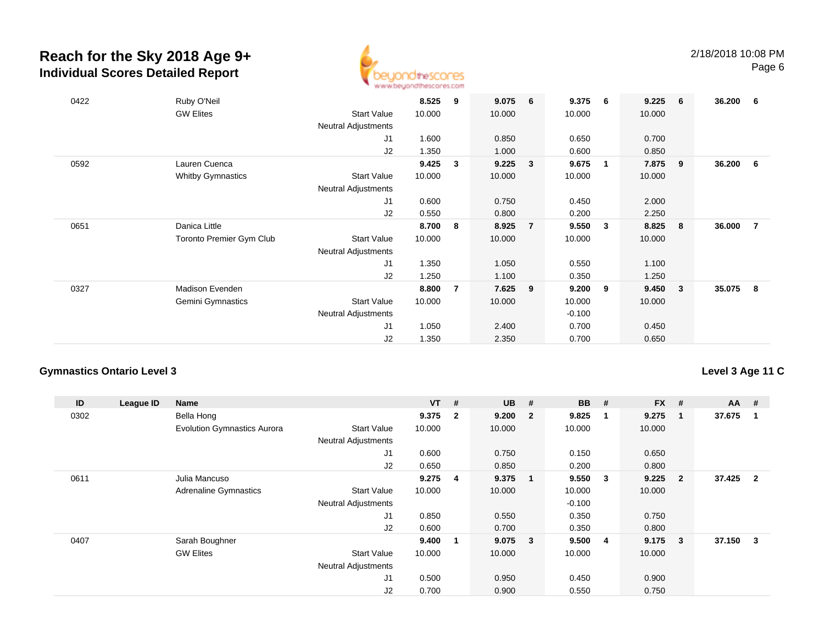

| 0422 | Ruby O'Neil<br><b>GW Elites</b> | <b>Start Value</b><br><b>Neutral Adjustments</b> | 8.525<br>10.000 | 9              | 9.075<br>10.000 | 6              | 9.375<br>10.000 | - 6            | 9.225<br>10.000 | - 6                     | 36.200 | - 6 |
|------|---------------------------------|--------------------------------------------------|-----------------|----------------|-----------------|----------------|-----------------|----------------|-----------------|-------------------------|--------|-----|
|      |                                 | J1                                               | 1.600           |                | 0.850           |                | 0.650           |                | 0.700           |                         |        |     |
|      |                                 | J2                                               | 1.350           |                | 1.000           |                | 0.600           |                | 0.850           |                         |        |     |
| 0592 | Lauren Cuenca                   |                                                  | 9.425           | 3              | 9.225           | 3              | 9.675           | $\blacksquare$ | 7.875           | 9                       | 36.200 | - 6 |
|      | <b>Whitby Gymnastics</b>        | <b>Start Value</b>                               | 10.000          |                | 10.000          |                | 10.000          |                | 10.000          |                         |        |     |
|      |                                 | <b>Neutral Adjustments</b>                       |                 |                |                 |                |                 |                |                 |                         |        |     |
|      |                                 | J1                                               | 0.600           |                | 0.750           |                | 0.450           |                | 2.000           |                         |        |     |
|      |                                 | J2                                               | 0.550           |                | 0.800           |                | 0.200           |                | 2.250           |                         |        |     |
| 0651 | Danica Little                   |                                                  | 8.700           | -8             | 8.925           | $\overline{7}$ | 9.550           | $\mathbf{3}$   | 8.825           | - 8                     | 36.000 | -7  |
|      | <b>Toronto Premier Gym Club</b> | <b>Start Value</b><br><b>Neutral Adjustments</b> | 10.000          |                | 10.000          |                | 10.000          |                | 10.000          |                         |        |     |
|      |                                 | J1                                               | 1.350           |                | 1.050           |                | 0.550           |                | 1.100           |                         |        |     |
|      |                                 | J2                                               | 1.250           |                | 1.100           |                | 0.350           |                | 1.250           |                         |        |     |
| 0327 | Madison Evenden                 |                                                  | 8.800           | $\overline{7}$ | 7.625           | 9              | 9.200           | 9              | 9.450           | $\overline{\mathbf{3}}$ | 35.075 | - 8 |
|      | Gemini Gymnastics               | <b>Start Value</b>                               | 10.000          |                | 10.000          |                | 10.000          |                | 10.000          |                         |        |     |
|      |                                 | Neutral Adjustments                              |                 |                |                 |                | $-0.100$        |                |                 |                         |        |     |
|      |                                 | J1                                               | 1.050           |                | 2.400           |                | 0.700           |                | 0.450           |                         |        |     |
|      |                                 | J2                                               | 1.350           |                | 2.350           |                | 0.700           |                | 0.650           |                         |        |     |

#### **Gymnastics Ontario Level 3**

#### **Level 3 Age 11 C**

| ID   | League ID | <b>Name</b>                        |                            | $VT$ # |                         | <b>UB</b> | #                       | <b>BB</b> | #  | $FX$ # |                | $AA$ # |                         |
|------|-----------|------------------------------------|----------------------------|--------|-------------------------|-----------|-------------------------|-----------|----|--------|----------------|--------|-------------------------|
| 0302 |           | Bella Hong                         |                            | 9.375  | $\overline{\mathbf{2}}$ | 9.200     | $\overline{\mathbf{2}}$ | 9.825     | -1 | 9.275  | $\mathbf{1}$   | 37.675 |                         |
|      |           | <b>Evolution Gymnastics Aurora</b> | <b>Start Value</b>         | 10.000 |                         | 10.000    |                         | 10.000    |    | 10.000 |                |        |                         |
|      |           |                                    | <b>Neutral Adjustments</b> |        |                         |           |                         |           |    |        |                |        |                         |
|      |           |                                    | J1                         | 0.600  |                         | 0.750     |                         | 0.150     |    | 0.650  |                |        |                         |
|      |           |                                    | J2                         | 0.650  |                         | 0.850     |                         | 0.200     |    | 0.800  |                |        |                         |
| 0611 |           | Julia Mancuso                      |                            | 9.275  | 4                       | 9.375     | $\overline{\mathbf{1}}$ | 9.550     | 3  | 9.225  | $\overline{2}$ | 37.425 | $\overline{\mathbf{2}}$ |
|      |           | <b>Adrenaline Gymnastics</b>       | <b>Start Value</b>         | 10.000 |                         | 10.000    |                         | 10.000    |    | 10.000 |                |        |                         |
|      |           |                                    | <b>Neutral Adjustments</b> |        |                         |           |                         | $-0.100$  |    |        |                |        |                         |
|      |           |                                    | J1                         | 0.850  |                         | 0.550     |                         | 0.350     |    | 0.750  |                |        |                         |
|      |           |                                    | J <sub>2</sub>             | 0.600  |                         | 0.700     |                         | 0.350     |    | 0.800  |                |        |                         |
| 0407 |           | Sarah Boughner                     |                            | 9.400  | -1                      | 9.075     | $\overline{\mathbf{3}}$ | 9.500     | 4  | 9.175  | 3              | 37.150 | 3                       |
|      |           | <b>GW Elites</b>                   | <b>Start Value</b>         | 10.000 |                         | 10.000    |                         | 10.000    |    | 10.000 |                |        |                         |
|      |           |                                    | <b>Neutral Adjustments</b> |        |                         |           |                         |           |    |        |                |        |                         |
|      |           |                                    | J1                         | 0.500  |                         | 0.950     |                         | 0.450     |    | 0.900  |                |        |                         |
|      |           |                                    | J <sub>2</sub>             | 0.700  |                         | 0.900     |                         | 0.550     |    | 0.750  |                |        |                         |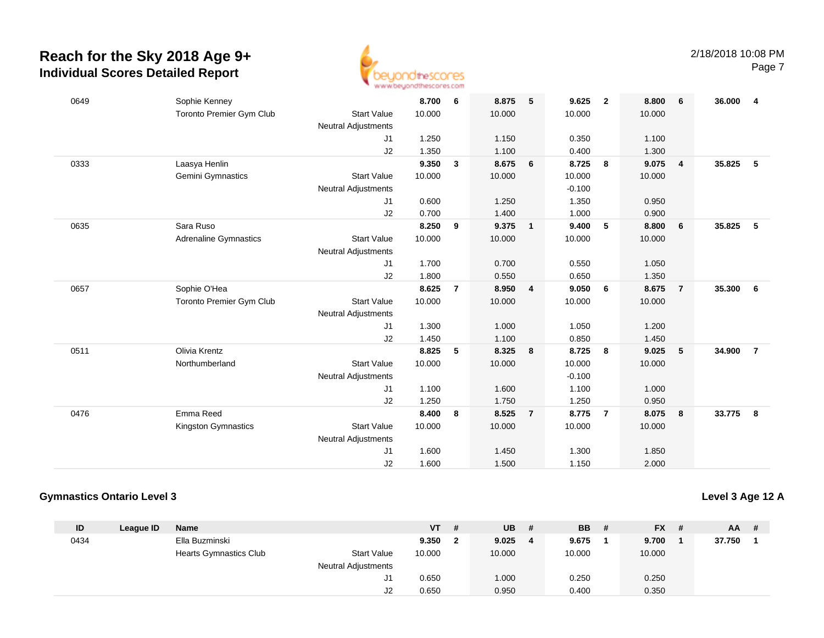

| 0649 | Sophie Kenney                |                            | 8.700  | 6              | 8.875  | 5                       | 9.625    | $\overline{2}$ | 8.800  | 6              | 36.000 | 4              |
|------|------------------------------|----------------------------|--------|----------------|--------|-------------------------|----------|----------------|--------|----------------|--------|----------------|
|      | Toronto Premier Gym Club     | <b>Start Value</b>         | 10.000 |                | 10.000 |                         | 10.000   |                | 10.000 |                |        |                |
|      |                              | <b>Neutral Adjustments</b> |        |                |        |                         |          |                |        |                |        |                |
|      |                              | J1                         | 1.250  |                | 1.150  |                         | 0.350    |                | 1.100  |                |        |                |
|      |                              | J2                         | 1.350  |                | 1.100  |                         | 0.400    |                | 1.300  |                |        |                |
| 0333 | Laasya Henlin                |                            | 9.350  | $\mathbf{3}$   | 8.675  | 6                       | 8.725    | 8              | 9.075  | $\overline{4}$ | 35.825 | 5              |
|      | Gemini Gymnastics            | <b>Start Value</b>         | 10.000 |                | 10.000 |                         | 10.000   |                | 10.000 |                |        |                |
|      |                              | <b>Neutral Adjustments</b> |        |                |        |                         | $-0.100$ |                |        |                |        |                |
|      |                              | J1                         | 0.600  |                | 1.250  |                         | 1.350    |                | 0.950  |                |        |                |
|      |                              | J2                         | 0.700  |                | 1.400  |                         | 1.000    |                | 0.900  |                |        |                |
| 0635 | Sara Ruso                    |                            | 8.250  | 9              | 9.375  | $\overline{1}$          | 9.400    | 5              | 8.800  | 6              | 35.825 | 5              |
|      | <b>Adrenaline Gymnastics</b> | <b>Start Value</b>         | 10.000 |                | 10.000 |                         | 10.000   |                | 10.000 |                |        |                |
|      |                              | <b>Neutral Adjustments</b> |        |                |        |                         |          |                |        |                |        |                |
|      |                              | J1                         | 1.700  |                | 0.700  |                         | 0.550    |                | 1.050  |                |        |                |
|      |                              | J2                         | 1.800  |                | 0.550  |                         | 0.650    |                | 1.350  |                |        |                |
| 0657 | Sophie O'Hea                 |                            | 8.625  | $\overline{7}$ | 8.950  | $\overline{\mathbf{4}}$ | 9.050    | 6              | 8.675  | $\overline{7}$ | 35.300 | 6              |
|      | Toronto Premier Gym Club     | <b>Start Value</b>         | 10.000 |                | 10.000 |                         | 10.000   |                | 10.000 |                |        |                |
|      |                              | Neutral Adjustments        |        |                |        |                         |          |                |        |                |        |                |
|      |                              | J1                         | 1.300  |                | 1.000  |                         | 1.050    |                | 1.200  |                |        |                |
|      |                              | J2                         | 1.450  |                | 1.100  |                         | 0.850    |                | 1.450  |                |        |                |
| 0511 | Olivia Krentz                |                            | 8.825  | 5              | 8.325  | 8                       | 8.725    | 8              | 9.025  | 5              | 34.900 | $\overline{7}$ |
|      | Northumberland               | <b>Start Value</b>         | 10.000 |                | 10.000 |                         | 10.000   |                | 10.000 |                |        |                |
|      |                              | <b>Neutral Adjustments</b> |        |                |        |                         | $-0.100$ |                |        |                |        |                |
|      |                              | J1                         | 1.100  |                | 1.600  |                         | 1.100    |                | 1.000  |                |        |                |
|      |                              | J2                         | 1.250  |                | 1.750  |                         | 1.250    |                | 0.950  |                |        |                |
| 0476 | Emma Reed                    |                            | 8.400  | 8              | 8.525  | $\overline{7}$          | 8.775    | $\overline{7}$ | 8.075  | 8              | 33.775 | 8              |
|      | Kingston Gymnastics          | <b>Start Value</b>         | 10.000 |                | 10.000 |                         | 10.000   |                | 10.000 |                |        |                |
|      |                              | <b>Neutral Adjustments</b> |        |                |        |                         |          |                |        |                |        |                |
|      |                              | J1                         | 1.600  |                | 1.450  |                         | 1.300    |                | 1.850  |                |        |                |
|      |                              | J2                         | 1.600  |                | 1.500  |                         | 1.150    |                | 2.000  |                |        |                |

#### **Gymnastics Ontario Level 3**

**Level 3 Age 12 A**

| ID   | League ID | Name                          |                     | <b>VT</b> | # | UB     | # | <b>BB</b> | $FX$ # | <b>AA</b> | - # |
|------|-----------|-------------------------------|---------------------|-----------|---|--------|---|-----------|--------|-----------|-----|
| 0434 |           | Ella Buzminski                |                     | 9.350     |   | 9.025  | 4 | 9.675     | 9.700  | 37.750    |     |
|      |           | <b>Hearts Gymnastics Club</b> | <b>Start Value</b>  | 10.000    |   | 10.000 |   | 10.000    | 10.000 |           |     |
|      |           |                               | Neutral Adjustments |           |   |        |   |           |        |           |     |
|      |           |                               | J1                  | 0.650     |   | 1.000  |   | 0.250     | 0.250  |           |     |
|      |           |                               | J2                  | 0.650     |   | 0.950  |   | 0.400     | 0.350  |           |     |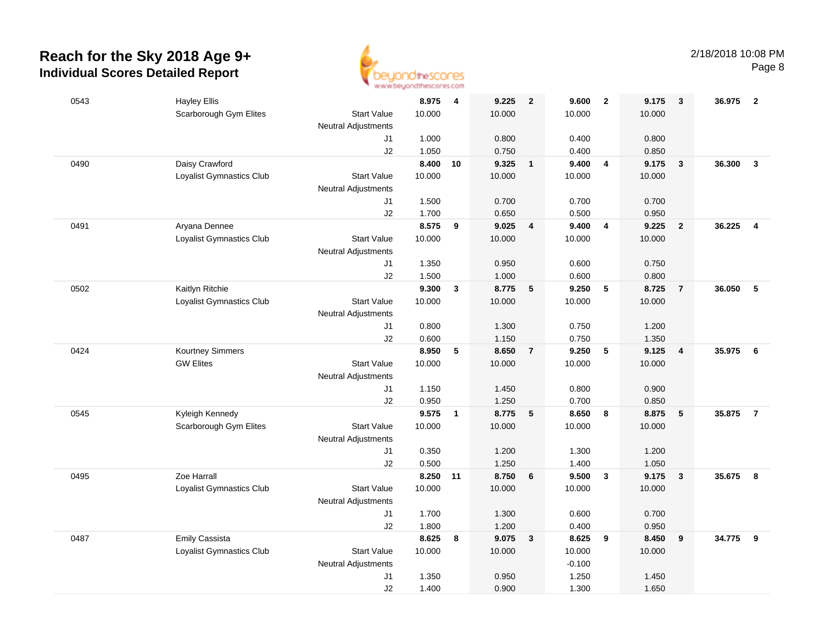

| 0543 | <b>Hayley Ellis</b>      |                            | 8.975           | $\overline{4}$ | 9.225  | $\overline{\mathbf{2}}$ | 9.600           | $\overline{\mathbf{2}}$ | 9.175  | $\overline{\mathbf{3}}$ | 36.975 | $\overline{2}$ |
|------|--------------------------|----------------------------|-----------------|----------------|--------|-------------------------|-----------------|-------------------------|--------|-------------------------|--------|----------------|
|      | Scarborough Gym Elites   | <b>Start Value</b>         | 10.000          |                | 10.000 |                         | 10.000          |                         | 10.000 |                         |        |                |
|      |                          | Neutral Adjustments        |                 |                |        |                         |                 |                         |        |                         |        |                |
|      |                          | J1                         | 1.000           |                | 0.800  |                         | 0.400           |                         | 0.800  |                         |        |                |
|      |                          | J2                         | 1.050           |                | 0.750  |                         | 0.400           |                         | 0.850  |                         |        |                |
| 0490 | Daisy Crawford           |                            | 8.400           | 10             | 9.325  | $\overline{1}$          | 9.400           | $\overline{4}$          | 9.175  | $\mathbf{3}$            | 36.300 | $\mathbf{3}$   |
|      | Loyalist Gymnastics Club | <b>Start Value</b>         | 10.000          |                | 10.000 |                         | 10.000          |                         | 10.000 |                         |        |                |
|      |                          | <b>Neutral Adjustments</b> |                 |                |        |                         |                 |                         |        |                         |        |                |
|      |                          | J <sub>1</sub>             | 1.500           |                | 0.700  |                         | 0.700           |                         | 0.700  |                         |        |                |
|      |                          | J2                         | 1.700           |                | 0.650  |                         | 0.500           |                         | 0.950  |                         |        |                |
| 0491 | Aryana Dennee            |                            | 8.575           | 9              | 9.025  | 4                       | 9.400           | $\overline{\mathbf{4}}$ | 9.225  | $\overline{2}$          | 36.225 | $\overline{4}$ |
|      | Loyalist Gymnastics Club | <b>Start Value</b>         | 10.000          |                | 10.000 |                         | 10.000          |                         | 10.000 |                         |        |                |
|      |                          | Neutral Adjustments        |                 |                |        |                         |                 |                         |        |                         |        |                |
|      |                          | J1                         | 1.350           |                | 0.950  |                         | 0.600           |                         | 0.750  |                         |        |                |
|      |                          | J2                         | 1.500           |                | 1.000  |                         | 0.600           |                         | 0.800  |                         |        |                |
| 0502 | Kaitlyn Ritchie          |                            | 9.300           | $\mathbf{3}$   | 8.775  | $5\phantom{.0}$         | 9.250           | 5                       | 8.725  | $\overline{7}$          | 36.050 | 5              |
|      | Loyalist Gymnastics Club | <b>Start Value</b>         | 10.000          |                | 10.000 |                         | 10.000          |                         | 10.000 |                         |        |                |
|      |                          | <b>Neutral Adjustments</b> |                 |                |        |                         |                 |                         |        |                         |        |                |
|      |                          | J1                         | 0.800           |                | 1.300  |                         | 0.750           |                         | 1.200  |                         |        |                |
|      |                          | J2                         | 0.600           |                | 1.150  |                         | 0.750           |                         | 1.350  |                         |        |                |
| 0424 | Kourtney Simmers         |                            | 8.950           | 5              | 8.650  | $\overline{7}$          | 9.250           | $5\phantom{.0}$         | 9.125  | $\overline{4}$          | 35.975 | - 6            |
|      | <b>GW Elites</b>         | <b>Start Value</b>         | 10.000          |                | 10.000 |                         | 10.000          |                         | 10.000 |                         |        |                |
|      |                          | Neutral Adjustments        |                 |                |        |                         |                 |                         |        |                         |        |                |
|      |                          | J1                         | 1.150           |                | 1.450  |                         | 0.800           |                         | 0.900  |                         |        |                |
|      |                          | J2                         | 0.950           |                | 1.250  |                         | 0.700           |                         | 0.850  |                         |        |                |
| 0545 | Kyleigh Kennedy          |                            | 9.575           | $\mathbf{1}$   | 8.775  | $5\phantom{.0}$         | 8.650           | 8                       | 8.875  | 5                       | 35.875 | $\overline{7}$ |
|      | Scarborough Gym Elites   | <b>Start Value</b>         | 10.000          |                | 10.000 |                         | 10.000          |                         | 10.000 |                         |        |                |
|      |                          | <b>Neutral Adjustments</b> |                 |                |        |                         |                 |                         |        |                         |        |                |
|      |                          | J1                         | 0.350           |                | 1.200  |                         | 1.300           |                         | 1.200  |                         |        |                |
|      |                          | J2                         | 0.500           |                | 1.250  |                         | 1.400           |                         | 1.050  |                         |        |                |
| 0495 | Zoe Harrall              |                            | 8.250 11        |                | 8.750  | 6                       | 9.500           | $\mathbf{3}$            | 9.175  | $\mathbf{3}$            | 35.675 | 8              |
|      | Loyalist Gymnastics Club | <b>Start Value</b>         | 10.000          |                | 10.000 |                         | 10.000          |                         | 10.000 |                         |        |                |
|      |                          | <b>Neutral Adjustments</b> |                 |                |        |                         |                 |                         |        |                         |        |                |
|      |                          | J1                         | 1.700           |                | 1.300  |                         | 0.600           |                         | 0.700  |                         |        |                |
|      |                          | J2                         | 1.800           |                | 1.200  |                         | 0.400           |                         | 0.950  |                         |        | 9              |
| 0487 | <b>Emily Cassista</b>    | <b>Start Value</b>         | 8.625<br>10.000 | 8              | 9.075  | $\mathbf{3}$            | 8.625<br>10.000 | 9                       | 8.450  | 9                       | 34.775 |                |
|      | Loyalist Gymnastics Club | <b>Neutral Adjustments</b> |                 |                | 10.000 |                         | $-0.100$        |                         | 10.000 |                         |        |                |
|      |                          | J <sub>1</sub>             | 1.350           |                | 0.950  |                         | 1.250           |                         | 1.450  |                         |        |                |
|      |                          | J2                         | 1.400           |                | 0.900  |                         | 1.300           |                         | 1.650  |                         |        |                |
|      |                          |                            |                 |                |        |                         |                 |                         |        |                         |        |                |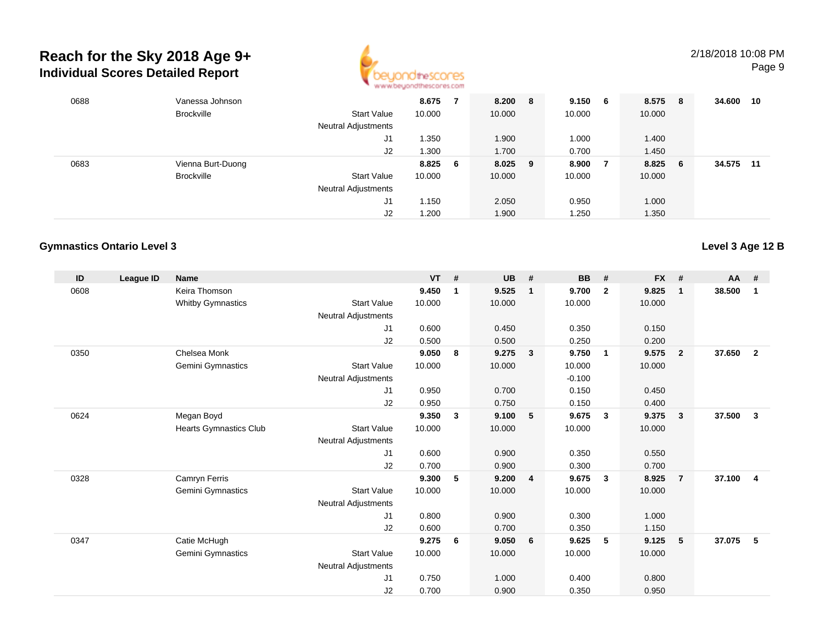

| 0688 | Vanessa Johnson   |                            | 8.675  |     | 8.200   | 8 | 9.150  | - 6 | 8.575  | - 8 | 34.600 | 10 |
|------|-------------------|----------------------------|--------|-----|---------|---|--------|-----|--------|-----|--------|----|
|      | <b>Brockville</b> | <b>Start Value</b>         | 10.000 |     | 10.000  |   | 10.000 |     | 10.000 |     |        |    |
|      |                   | <b>Neutral Adjustments</b> |        |     |         |   |        |     |        |     |        |    |
|      |                   | J1                         | 1.350  |     | 1.900   |   | 1.000  |     | 1.400  |     |        |    |
|      |                   | J2                         | 1.300  |     | 1.700   |   | 0.700  |     | 1.450  |     |        |    |
| 0683 | Vienna Burt-Duong |                            | 8.825  | - 6 | 8.025 9 |   | 8.900  |     | 8.825  | - 6 | 34.575 | 11 |
|      | <b>Brockville</b> | <b>Start Value</b>         | 10.000 |     | 10.000  |   | 10.000 |     | 10.000 |     |        |    |
|      |                   | <b>Neutral Adjustments</b> |        |     |         |   |        |     |        |     |        |    |
|      |                   | J1                         | 1.150  |     | 2.050   |   | 0.950  |     | 1.000  |     |        |    |
|      |                   | J <sub>2</sub>             | 1.200  |     | 1.900   |   | 1.250  |     | 1.350  |     |        |    |

#### **Gymnastics Ontario Level 3**

| ID   | League ID | <b>Name</b>              |                            | <b>VT</b> | #           | <b>UB</b> | #                       | <b>BB</b> | #              | <b>FX</b> | #              | <b>AA</b> | #                       |
|------|-----------|--------------------------|----------------------------|-----------|-------------|-----------|-------------------------|-----------|----------------|-----------|----------------|-----------|-------------------------|
| 0608 |           | Keira Thomson            |                            | 9.450     | $\mathbf 1$ | 9.525     | $\mathbf 1$             | 9.700     | $\overline{2}$ | 9.825     | $\mathbf{1}$   | 38.500    | 1                       |
|      |           | <b>Whitby Gymnastics</b> | <b>Start Value</b>         | 10.000    |             | 10.000    |                         | 10.000    |                | 10.000    |                |           |                         |
|      |           |                          | <b>Neutral Adjustments</b> |           |             |           |                         |           |                |           |                |           |                         |
|      |           |                          | J <sub>1</sub>             | 0.600     |             | 0.450     |                         | 0.350     |                | 0.150     |                |           |                         |
|      |           |                          | J2                         | 0.500     |             | 0.500     |                         | 0.250     |                | 0.200     |                |           |                         |
| 0350 |           | Chelsea Monk             |                            | 9.050     | 8           | 9.275     | $\overline{\mathbf{3}}$ | 9.750     | $\mathbf{1}$   | 9.575     | $\overline{2}$ | 37.650    | $\overline{\mathbf{2}}$ |
|      |           | Gemini Gymnastics        | <b>Start Value</b>         | 10.000    |             | 10.000    |                         | 10.000    |                | 10.000    |                |           |                         |
|      |           |                          | <b>Neutral Adjustments</b> |           |             |           |                         | $-0.100$  |                |           |                |           |                         |
|      |           |                          | J <sub>1</sub>             | 0.950     |             | 0.700     |                         | 0.150     |                | 0.450     |                |           |                         |
|      |           |                          | J2                         | 0.950     |             | 0.750     |                         | 0.150     |                | 0.400     |                |           |                         |
| 0624 |           | Megan Boyd               |                            | 9.350     | 3           | 9.100     | 5                       | 9.675     | $\mathbf{3}$   | 9.375     | 3              | 37.500    | $\mathbf{3}$            |
|      |           | Hearts Gymnastics Club   | <b>Start Value</b>         | 10.000    |             | 10.000    |                         | 10.000    |                | 10.000    |                |           |                         |
|      |           |                          | <b>Neutral Adjustments</b> |           |             |           |                         |           |                |           |                |           |                         |
|      |           |                          | J <sub>1</sub>             | 0.600     |             | 0.900     |                         | 0.350     |                | 0.550     |                |           |                         |
|      |           |                          | J <sub>2</sub>             | 0.700     |             | 0.900     |                         | 0.300     |                | 0.700     |                |           |                         |
| 0328 |           | Camryn Ferris            |                            | 9.300     | 5           | 9.200     | $\overline{\mathbf{4}}$ | 9.675     | 3              | 8.925     | $\overline{7}$ | 37.100    | $\overline{4}$          |
|      |           | Gemini Gymnastics        | <b>Start Value</b>         | 10.000    |             | 10.000    |                         | 10.000    |                | 10.000    |                |           |                         |
|      |           |                          | <b>Neutral Adjustments</b> |           |             |           |                         |           |                |           |                |           |                         |
|      |           |                          | J <sub>1</sub>             | 0.800     |             | 0.900     |                         | 0.300     |                | 1.000     |                |           |                         |
|      |           |                          | J2                         | 0.600     |             | 0.700     |                         | 0.350     |                | 1.150     |                |           |                         |
| 0347 |           | Catie McHugh             |                            | 9.275     | 6           | 9.050     | 6                       | 9.625     | 5              | 9.125     | 5              | 37.075    | 5                       |
|      |           | Gemini Gymnastics        | <b>Start Value</b>         | 10.000    |             | 10.000    |                         | 10.000    |                | 10.000    |                |           |                         |
|      |           |                          | <b>Neutral Adjustments</b> |           |             |           |                         |           |                |           |                |           |                         |
|      |           |                          | J1                         | 0.750     |             | 1.000     |                         | 0.400     |                | 0.800     |                |           |                         |
|      |           |                          | J <sub>2</sub>             | 0.700     |             | 0.900     |                         | 0.350     |                | 0.950     |                |           |                         |

**Level 3 Age 12 B**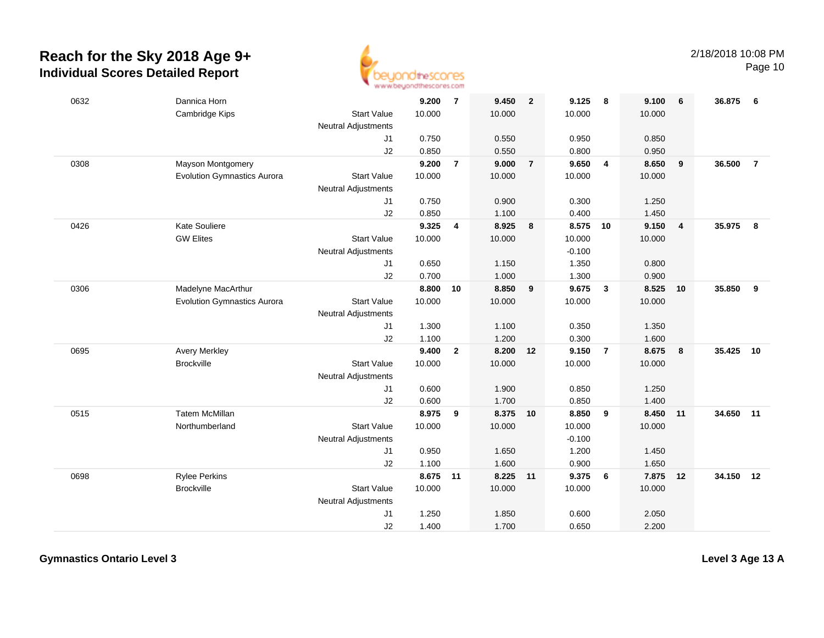

Page 10

| 0632 | Dannica Horn<br>Cambridge Kips     | <b>Start Value</b>               | 9.200<br>10.000 | $\overline{7}$ | 9.450<br>10.000 | $\overline{2}$ | 9.125<br>10.000 | 8                       | 9.100<br>10.000 | 6                       | 36.875    | 6              |
|------|------------------------------------|----------------------------------|-----------------|----------------|-----------------|----------------|-----------------|-------------------------|-----------------|-------------------------|-----------|----------------|
|      |                                    | Neutral Adjustments              |                 |                |                 |                |                 |                         |                 |                         |           |                |
|      |                                    | J1                               | 0.750           |                | 0.550           |                | 0.950           |                         | 0.850           |                         |           |                |
|      |                                    | J2                               | 0.850           |                | 0.550           |                | 0.800           |                         | 0.950           |                         |           |                |
| 0308 | Mayson Montgomery                  |                                  | 9.200           | $\overline{7}$ | 9.000           | $\overline{7}$ | 9.650           | 4                       | 8.650           | $\overline{9}$          | 36.500    | $\overline{7}$ |
|      | <b>Evolution Gymnastics Aurora</b> | <b>Start Value</b>               | 10.000          |                | 10.000          |                | 10.000          |                         | 10.000          |                         |           |                |
|      |                                    | Neutral Adjustments              |                 |                |                 |                |                 |                         |                 |                         |           |                |
|      |                                    | J1                               | 0.750           |                | 0.900           |                | 0.300           |                         | 1.250           |                         |           |                |
|      |                                    | J2                               | 0.850           |                | 1.100           |                | 0.400           |                         | 1.450           |                         |           |                |
| 0426 | <b>Kate Souliere</b>               |                                  | 9.325           | $\overline{4}$ | 8.925           | 8              | 8.575           | 10                      | 9.150           | $\overline{\mathbf{4}}$ | 35.975    | 8              |
|      | <b>GW Elites</b>                   | <b>Start Value</b>               | 10.000          |                | 10.000          |                | 10.000          |                         | 10.000          |                         |           |                |
|      |                                    | <b>Neutral Adjustments</b>       |                 |                |                 |                | $-0.100$        |                         |                 |                         |           |                |
|      |                                    | J1                               | 0.650           |                | 1.150           |                | 1.350           |                         | 0.800           |                         |           |                |
|      |                                    | J2                               | 0.700           |                | 1.000           |                | 1.300           |                         | 0.900           |                         |           |                |
| 0306 | Madelyne MacArthur                 |                                  | 8.800           | 10             | 8.850           | 9              | 9.675           | $\overline{\mathbf{3}}$ | 8.525           | 10                      | 35.850    | 9              |
|      | <b>Evolution Gymnastics Aurora</b> | <b>Start Value</b>               | 10.000          |                | 10.000          |                | 10.000          |                         | 10.000          |                         |           |                |
|      |                                    | <b>Neutral Adjustments</b><br>J1 | 1.300           |                | 1.100           |                | 0.350           |                         | 1.350           |                         |           |                |
|      |                                    | J2                               | 1.100           |                | 1.200           |                | 0.300           |                         | 1.600           |                         |           |                |
| 0695 | <b>Avery Merkley</b>               |                                  | 9.400           | $\overline{2}$ | 8.200           | 12             | 9.150           | $\overline{7}$          | 8.675           | $\overline{\mathbf{8}}$ | 35.425    | 10             |
|      | <b>Brockville</b>                  | <b>Start Value</b>               | 10.000          |                | 10.000          |                | 10.000          |                         | 10.000          |                         |           |                |
|      |                                    | <b>Neutral Adjustments</b>       |                 |                |                 |                |                 |                         |                 |                         |           |                |
|      |                                    | J1                               | 0.600           |                | 1.900           |                | 0.850           |                         | 1.250           |                         |           |                |
|      |                                    | J2                               | 0.600           |                | 1.700           |                | 0.850           |                         | 1.400           |                         |           |                |
| 0515 | <b>Tatem McMillan</b>              |                                  | 8.975           | 9              | 8.375 10        |                | 8.850           | 9                       | 8.450 11        |                         | 34.650 11 |                |
|      | Northumberland                     | <b>Start Value</b>               | 10.000          |                | 10.000          |                | 10.000          |                         | 10.000          |                         |           |                |
|      |                                    | Neutral Adjustments              |                 |                |                 |                | $-0.100$        |                         |                 |                         |           |                |
|      |                                    | J1                               | 0.950           |                | 1.650           |                | 1.200           |                         | 1.450           |                         |           |                |
|      |                                    | J2                               | 1.100           |                | 1.600           |                | 0.900           |                         | 1.650           |                         |           |                |
| 0698 | <b>Rylee Perkins</b>               |                                  | 8.675           | 11             | 8.225 11        |                | 9.375           | 6                       | 7.875 12        |                         | 34.150 12 |                |
|      | <b>Brockville</b>                  | <b>Start Value</b>               | 10.000          |                | 10.000          |                | 10.000          |                         | 10.000          |                         |           |                |
|      |                                    | <b>Neutral Adjustments</b>       |                 |                |                 |                |                 |                         |                 |                         |           |                |
|      |                                    | J <sub>1</sub>                   | 1.250           |                | 1.850           |                | 0.600           |                         | 2.050           |                         |           |                |
|      |                                    | J2                               | 1.400           |                | 1.700           |                | 0.650           |                         | 2.200           |                         |           |                |
|      |                                    |                                  |                 |                |                 |                |                 |                         |                 |                         |           |                |

**Gymnastics Ontario Level 3**

**Level 3 Age 13 A**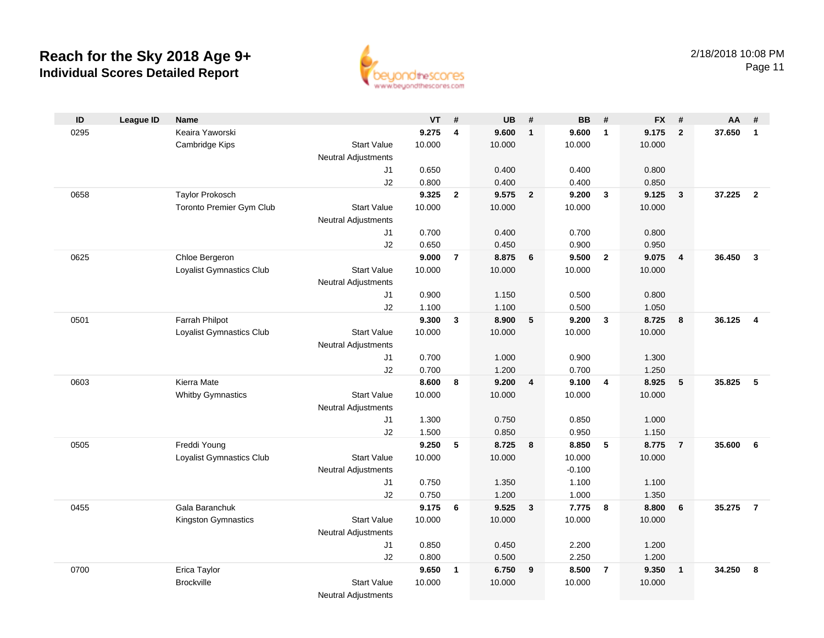

| ID   | <b>League ID</b> | <b>Name</b>              |                            | VT     | #                       | <b>UB</b> | #              | <b>BB</b> | #                       | <b>FX</b> | #                       | AA     | #                       |
|------|------------------|--------------------------|----------------------------|--------|-------------------------|-----------|----------------|-----------|-------------------------|-----------|-------------------------|--------|-------------------------|
| 0295 |                  | Keaira Yaworski          |                            | 9.275  | $\overline{\mathbf{4}}$ | 9.600     | $\mathbf{1}$   | 9.600     | $\mathbf{1}$            | 9.175     | $\overline{2}$          | 37.650 | $\mathbf{1}$            |
|      |                  | Cambridge Kips           | <b>Start Value</b>         | 10.000 |                         | 10.000    |                | 10.000    |                         | 10.000    |                         |        |                         |
|      |                  |                          | <b>Neutral Adjustments</b> |        |                         |           |                |           |                         |           |                         |        |                         |
|      |                  |                          | J1                         | 0.650  |                         | 0.400     |                | 0.400     |                         | 0.800     |                         |        |                         |
|      |                  |                          | J2                         | 0.800  |                         | 0.400     |                | 0.400     |                         | 0.850     |                         |        |                         |
| 0658 |                  | <b>Taylor Prokosch</b>   |                            | 9.325  | $\overline{2}$          | 9.575     | $\overline{2}$ | 9.200     | $\mathbf{3}$            | 9.125     | $\overline{\mathbf{3}}$ | 37.225 | $\overline{2}$          |
|      |                  | Toronto Premier Gym Club | <b>Start Value</b>         | 10.000 |                         | 10.000    |                | 10.000    |                         | 10.000    |                         |        |                         |
|      |                  |                          | <b>Neutral Adjustments</b> |        |                         |           |                |           |                         |           |                         |        |                         |
|      |                  |                          | J1                         | 0.700  |                         | 0.400     |                | 0.700     |                         | 0.800     |                         |        |                         |
|      |                  |                          | J2                         | 0.650  |                         | 0.450     |                | 0.900     |                         | 0.950     |                         |        |                         |
| 0625 |                  | Chloe Bergeron           |                            | 9.000  | $\overline{7}$          | 8.875     | 6              | 9.500     | $\overline{2}$          | 9.075     | $\overline{4}$          | 36.450 | $\overline{3}$          |
|      |                  | Loyalist Gymnastics Club | <b>Start Value</b>         | 10.000 |                         | 10.000    |                | 10.000    |                         | 10.000    |                         |        |                         |
|      |                  |                          | <b>Neutral Adjustments</b> |        |                         |           |                |           |                         |           |                         |        |                         |
|      |                  |                          | J1                         | 0.900  |                         | 1.150     |                | 0.500     |                         | 0.800     |                         |        |                         |
|      |                  |                          | J2                         | 1.100  |                         | 1.100     |                | 0.500     |                         | 1.050     |                         |        |                         |
| 0501 |                  | Farrah Philpot           |                            | 9.300  | $\mathbf{3}$            | 8.900     | 5              | 9.200     | $\mathbf{3}$            | 8.725     | 8                       | 36.125 | $\overline{\mathbf{4}}$ |
|      |                  | Loyalist Gymnastics Club | <b>Start Value</b>         | 10.000 |                         | 10.000    |                | 10.000    |                         | 10.000    |                         |        |                         |
|      |                  |                          | Neutral Adjustments        |        |                         |           |                |           |                         |           |                         |        |                         |
|      |                  |                          | J1                         | 0.700  |                         | 1.000     |                | 0.900     |                         | 1.300     |                         |        |                         |
|      |                  |                          | J2                         | 0.700  |                         | 1.200     |                | 0.700     |                         | 1.250     |                         |        |                         |
| 0603 |                  | Kierra Mate              |                            | 8.600  | 8                       | 9.200     | $\overline{4}$ | 9.100     | $\overline{4}$          | 8.925     | 5                       | 35.825 | 5                       |
|      |                  | <b>Whitby Gymnastics</b> | <b>Start Value</b>         | 10.000 |                         | 10.000    |                | 10.000    |                         | 10.000    |                         |        |                         |
|      |                  |                          | Neutral Adjustments        |        |                         |           |                |           |                         |           |                         |        |                         |
|      |                  |                          | J1                         | 1.300  |                         | 0.750     |                | 0.850     |                         | 1.000     |                         |        |                         |
|      |                  |                          | J2                         | 1.500  |                         | 0.850     |                | 0.950     |                         | 1.150     |                         |        |                         |
| 0505 |                  | Freddi Young             |                            | 9.250  | 5                       | 8.725     | 8              | 8.850     | 5                       | 8.775     | $\overline{7}$          | 35.600 | 6                       |
|      |                  | Loyalist Gymnastics Club | <b>Start Value</b>         | 10.000 |                         | 10.000    |                | 10.000    |                         | 10.000    |                         |        |                         |
|      |                  |                          | Neutral Adjustments        |        |                         |           |                | $-0.100$  |                         |           |                         |        |                         |
|      |                  |                          | J1                         | 0.750  |                         | 1.350     |                | 1.100     |                         | 1.100     |                         |        |                         |
|      |                  |                          | J2                         | 0.750  |                         | 1.200     |                | 1.000     |                         | 1.350     |                         |        |                         |
| 0455 |                  | Gala Baranchuk           |                            | 9.175  | 6                       | 9.525     | $\mathbf{3}$   | 7.775     | $\overline{\mathbf{8}}$ | 8.800     | 6                       | 35.275 | $\overline{7}$          |
|      |                  | Kingston Gymnastics      | <b>Start Value</b>         | 10.000 |                         | 10.000    |                | 10.000    |                         | 10.000    |                         |        |                         |
|      |                  |                          | <b>Neutral Adjustments</b> |        |                         |           |                |           |                         |           |                         |        |                         |
|      |                  |                          | J1                         | 0.850  |                         | 0.450     |                | 2.200     |                         | 1.200     |                         |        |                         |
|      |                  |                          | J2                         | 0.800  |                         | 0.500     |                | 2.250     |                         | 1.200     |                         |        |                         |
| 0700 |                  | Erica Taylor             |                            | 9.650  | $\mathbf{1}$            | 6.750     | 9              | 8.500     | $\overline{7}$          | 9.350     | $\overline{1}$          | 34.250 | 8                       |
|      |                  | <b>Brockville</b>        | <b>Start Value</b>         | 10.000 |                         | 10.000    |                | 10.000    |                         | 10.000    |                         |        |                         |
|      |                  |                          | <b>Neutral Adjustments</b> |        |                         |           |                |           |                         |           |                         |        |                         |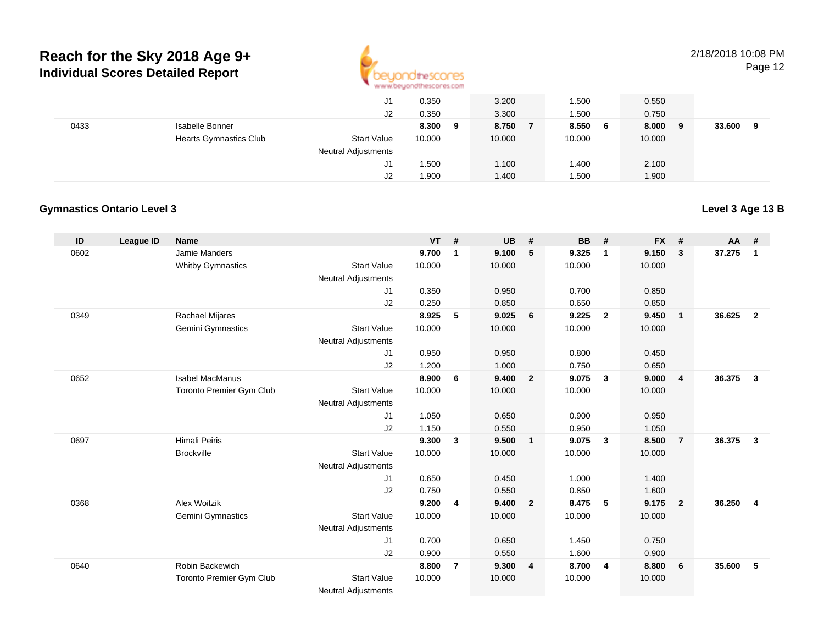

**Level 3 Age 13 B**

Page 12

|      | J1<br>J2                                            | 0.350<br>0.350 | 3.200<br>3.300 | .500<br>1.500 | 0.550<br>0.750 |             |
|------|-----------------------------------------------------|----------------|----------------|---------------|----------------|-------------|
| 0433 | Isabelle Bonner                                     | 8.300<br>9     | 8.750          | 8.550<br>- 6  | 8.000<br>9     | 33.600<br>9 |
|      | <b>Hearts Gymnastics Club</b><br><b>Start Value</b> | 10.000         | 10.000         | 10.000        | 10.000         |             |
|      | <b>Neutral Adjustments</b>                          |                |                |               |                |             |
|      | J1                                                  | 1.500          | 1.100          | 1.400         | 2.100          |             |
|      | J2                                                  | 1.900          | 1.400          | .500          | 1.900          |             |

#### **Gymnastics Ontario Level 3**

| ID   | <b>League ID</b> | <b>Name</b>              |                                              | <b>VT</b> | #              | <b>UB</b> | #              | <b>BB</b> | #              | <b>FX</b> | #              | AA     | #                       |
|------|------------------|--------------------------|----------------------------------------------|-----------|----------------|-----------|----------------|-----------|----------------|-----------|----------------|--------|-------------------------|
| 0602 |                  | Jamie Manders            |                                              | 9.700     | 1              | 9.100     | 5              | 9.325     | $\mathbf{1}$   | 9.150     | $\mathbf{3}$   | 37.275 | $\overline{1}$          |
|      |                  | <b>Whitby Gymnastics</b> | <b>Start Value</b>                           | 10.000    |                | 10.000    |                | 10.000    |                | 10.000    |                |        |                         |
|      |                  |                          | Neutral Adjustments                          |           |                |           |                |           |                |           |                |        |                         |
|      |                  |                          | J <sub>1</sub>                               | 0.350     |                | 0.950     |                | 0.700     |                | 0.850     |                |        |                         |
|      |                  |                          | J <sub>2</sub>                               | 0.250     |                | 0.850     |                | 0.650     |                | 0.850     |                |        |                         |
| 0349 |                  | Rachael Mijares          |                                              | 8.925     | 5              | 9.025     | 6              | 9.225     | $\overline{2}$ | 9.450     | $\overline{1}$ | 36.625 | $\overline{2}$          |
|      |                  | Gemini Gymnastics        | <b>Start Value</b>                           | 10.000    |                | 10.000    |                | 10.000    |                | 10.000    |                |        |                         |
|      |                  |                          | <b>Neutral Adjustments</b>                   |           |                |           |                |           |                |           |                |        |                         |
|      |                  |                          | J <sub>1</sub>                               | 0.950     |                | 0.950     |                | 0.800     |                | 0.450     |                |        |                         |
|      |                  |                          | J <sub>2</sub>                               | 1.200     |                | 1.000     |                | 0.750     |                | 0.650     |                |        |                         |
| 0652 |                  | <b>Isabel MacManus</b>   |                                              | 8.900     | 6              | 9.400     | $\overline{2}$ | 9.075     | $\mathbf{3}$   | 9.000     | $\overline{4}$ | 36.375 | $\overline{\mathbf{3}}$ |
|      |                  | Toronto Premier Gym Club | <b>Start Value</b>                           | 10.000    |                | 10.000    |                | 10.000    |                | 10.000    |                |        |                         |
|      |                  |                          | Neutral Adjustments                          |           |                |           |                |           |                |           |                |        |                         |
|      |                  |                          | J <sub>1</sub>                               | 1.050     |                | 0.650     |                | 0.900     |                | 0.950     |                |        |                         |
|      |                  |                          | J <sub>2</sub>                               | 1.150     |                | 0.550     |                | 0.950     |                | 1.050     |                |        |                         |
| 0697 |                  | <b>Himali Peiris</b>     |                                              | 9.300     | 3              | 9.500     | $\mathbf{1}$   | 9.075     | $\mathbf{3}$   | 8.500     | $\overline{7}$ | 36.375 | $\overline{\mathbf{3}}$ |
|      |                  | <b>Brockville</b>        | <b>Start Value</b>                           | 10.000    |                | 10.000    |                | 10.000    |                | 10.000    |                |        |                         |
|      |                  |                          | <b>Neutral Adjustments</b>                   |           |                |           |                |           |                |           |                |        |                         |
|      |                  |                          | J <sub>1</sub>                               | 0.650     |                | 0.450     |                | 1.000     |                | 1.400     |                |        |                         |
|      |                  |                          | J <sub>2</sub>                               | 0.750     |                | 0.550     |                | 0.850     |                | 1.600     |                |        |                         |
| 0368 |                  | Alex Woitzik             |                                              | 9.200     | 4              | 9.400     | $\overline{2}$ | 8.475     | 5              | 9.175     | $\overline{2}$ | 36.250 | $\overline{4}$          |
|      |                  | Gemini Gymnastics        | <b>Start Value</b>                           | 10.000    |                | 10.000    |                | 10.000    |                | 10.000    |                |        |                         |
|      |                  |                          | <b>Neutral Adjustments</b>                   |           |                |           |                |           |                |           |                |        |                         |
|      |                  |                          | J <sub>1</sub>                               | 0.700     |                | 0.650     |                | 1.450     |                | 0.750     |                |        |                         |
|      |                  |                          | J <sub>2</sub>                               | 0.900     |                | 0.550     |                | 1.600     |                | 0.900     |                |        |                         |
| 0640 |                  | Robin Backewich          |                                              | 8.800     | $\overline{7}$ | 9.300     | $\overline{4}$ | 8.700     | $\overline{4}$ | 8.800     | - 6            | 35.600 | 5                       |
|      |                  | Toronto Premier Gym Club | <b>Start Value</b>                           | 10.000    |                | 10.000    |                | 10.000    |                | 10.000    |                |        |                         |
|      |                  |                          | <b>Alla consult And Constanting Constant</b> |           |                |           |                |           |                |           |                |        |                         |

Neutral Adjustments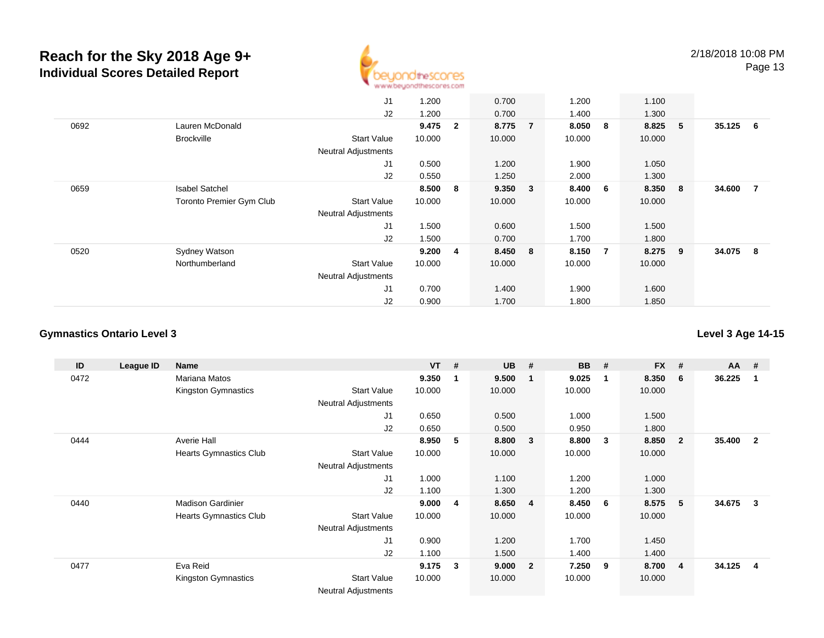

|      |                          | J1                         | 1.200  |                | 0.700   |                | 1.200  |                | 1.100  |     |        |     |
|------|--------------------------|----------------------------|--------|----------------|---------|----------------|--------|----------------|--------|-----|--------|-----|
|      |                          | J2                         | 1.200  |                | 0.700   |                | 1.400  |                | 1.300  |     |        |     |
| 0692 | Lauren McDonald          |                            | 9.475  | $\mathbf{2}$   | 8.775   | $\overline{7}$ | 8.050  | - 8            | 8.825  | - 5 | 35.125 | - 6 |
|      | <b>Brockville</b>        | <b>Start Value</b>         | 10.000 |                | 10.000  |                | 10.000 |                | 10.000 |     |        |     |
|      |                          | <b>Neutral Adjustments</b> |        |                |         |                |        |                |        |     |        |     |
|      |                          | J <sub>1</sub>             | 0.500  |                | 1.200   |                | 1.900  |                | 1.050  |     |        |     |
|      |                          | J2                         | 0.550  |                | 1.250   |                | 2.000  |                | 1.300  |     |        |     |
| 0659 | <b>Isabel Satchel</b>    |                            | 8.500  | 8              | 9.350 3 |                | 8.400  | 6              | 8.350  | 8   | 34.600 | - 7 |
|      | Toronto Premier Gym Club | <b>Start Value</b>         | 10.000 |                | 10.000  |                | 10.000 |                | 10.000 |     |        |     |
|      |                          | <b>Neutral Adjustments</b> |        |                |         |                |        |                |        |     |        |     |
|      |                          | J <sub>1</sub>             | 1.500  |                | 0.600   |                | 1.500  |                | 1.500  |     |        |     |
|      |                          | J2                         | 1.500  |                | 0.700   |                | 1.700  |                | 1.800  |     |        |     |
| 0520 | Sydney Watson            |                            | 9.200  | $\overline{4}$ | 8.450   | 8              | 8.150  | $\overline{7}$ | 8.275  | - 9 | 34.075 | -8  |
|      | Northumberland           | <b>Start Value</b>         | 10.000 |                | 10.000  |                | 10.000 |                | 10.000 |     |        |     |
|      |                          | <b>Neutral Adjustments</b> |        |                |         |                |        |                |        |     |        |     |
|      |                          | J <sub>1</sub>             | 0.700  |                | 1.400   |                | 1.900  |                | 1.600  |     |        |     |
|      |                          | J2                         | 0.900  |                | 1.700   |                | 1.800  |                | 1.850  |     |        |     |

#### **Gymnastics Ontario Level 3Level 3 Age 14-15**

**ID League ID Name VT # UB # BB # FX # AA #** 0472 Mariana Matos **9.350 <sup>1</sup> 9.500 <sup>1</sup> 9.025 <sup>1</sup> 8.350 <sup>6</sup> 36.225 <sup>1</sup>** Kingston Gymnastics Start Valuee 10.000 10.000 10.000 10.000 Neutral Adjustments J1 0.650 0.500 1.000 1.500 J2 0.650 0.500 0.950 1.800 0444 Averie Hall **8.950 <sup>5</sup> 8.800 <sup>3</sup> 8.800 <sup>3</sup> 8.850 <sup>2</sup> 35.400 <sup>2</sup>** Hearts Gymnastics Club Start Value 10.000 10.000 10.000 10.000 Neutral Adjustments J1 1.000 1.100 1.200 1.000 J2 1.100 1.300 1.200 1.300 0440 Madison Gardinier **9.000 <sup>4</sup> 8.650 <sup>4</sup> 8.450 <sup>6</sup> 8.575 <sup>5</sup> 34.675 <sup>3</sup>** Hearts Gymnastics Club Start Value 10.000 10.000 10.000 10.000 Neutral Adjustments J1 0.900 1.200 1.700 1.450 J2 1.100 1.500 1.400 1.400 0477 Eva Reid **9.175 <sup>3</sup> 9.000 <sup>2</sup> 7.250 <sup>9</sup> 8.700 <sup>4</sup> 34.125 <sup>4</sup>** Kingston Gymnastics Start Valuee 10.000 10.000 10.000 10.000 Neutral Adjustments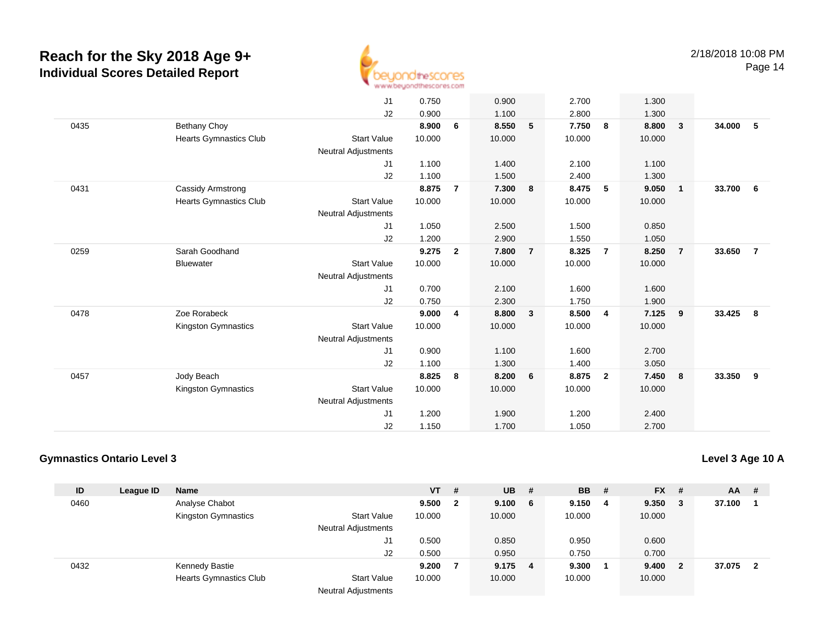

|      |                               | J <sub>1</sub>             | 0.750  |                | 0.900  |                | 2.700  |                | 1.300  |                         |        |                |
|------|-------------------------------|----------------------------|--------|----------------|--------|----------------|--------|----------------|--------|-------------------------|--------|----------------|
|      |                               | J2                         | 0.900  |                | 1.100  |                | 2.800  |                | 1.300  |                         |        |                |
| 0435 | Bethany Choy                  |                            | 8.900  | 6              | 8.550  | 5              | 7.750  | 8              | 8.800  | $\overline{\mathbf{3}}$ | 34.000 | -5             |
|      | <b>Hearts Gymnastics Club</b> | <b>Start Value</b>         | 10.000 |                | 10.000 |                | 10.000 |                | 10.000 |                         |        |                |
|      |                               | <b>Neutral Adjustments</b> |        |                |        |                |        |                |        |                         |        |                |
|      |                               | J1                         | 1.100  |                | 1.400  |                | 2.100  |                | 1.100  |                         |        |                |
|      |                               | J2                         | 1.100  |                | 1.500  |                | 2.400  |                | 1.300  |                         |        |                |
| 0431 | <b>Cassidy Armstrong</b>      |                            | 8.875  | $\overline{7}$ | 7.300  | 8              | 8.475  | 5              | 9.050  | $\overline{\mathbf{1}}$ | 33.700 | 6              |
|      | <b>Hearts Gymnastics Club</b> | <b>Start Value</b>         | 10.000 |                | 10.000 |                | 10.000 |                | 10.000 |                         |        |                |
|      |                               | <b>Neutral Adjustments</b> |        |                |        |                |        |                |        |                         |        |                |
|      |                               | J1                         | 1.050  |                | 2.500  |                | 1.500  |                | 0.850  |                         |        |                |
|      |                               | J2                         | 1.200  |                | 2.900  |                | 1.550  |                | 1.050  |                         |        |                |
| 0259 | Sarah Goodhand                |                            | 9.275  | $\overline{2}$ | 7.800  | $\overline{7}$ | 8.325  | $\overline{7}$ | 8.250  | $\overline{7}$          | 33.650 | $\overline{7}$ |
|      | <b>Bluewater</b>              | <b>Start Value</b>         | 10.000 |                | 10.000 |                | 10.000 |                | 10.000 |                         |        |                |
|      |                               | <b>Neutral Adjustments</b> |        |                |        |                |        |                |        |                         |        |                |
|      |                               | J1                         | 0.700  |                | 2.100  |                | 1.600  |                | 1.600  |                         |        |                |
|      |                               | J2                         | 0.750  |                | 2.300  |                | 1.750  |                | 1.900  |                         |        |                |
| 0478 | Zoe Rorabeck                  |                            | 9.000  | 4              | 8.800  | $\mathbf{3}$   | 8.500  | $\overline{4}$ | 7.125  | 9                       | 33.425 | 8              |
|      | Kingston Gymnastics           | <b>Start Value</b>         | 10.000 |                | 10.000 |                | 10.000 |                | 10.000 |                         |        |                |
|      |                               | <b>Neutral Adjustments</b> |        |                |        |                |        |                |        |                         |        |                |
|      |                               | J1                         | 0.900  |                | 1.100  |                | 1.600  |                | 2.700  |                         |        |                |
|      |                               | J2                         | 1.100  |                | 1.300  |                | 1.400  |                | 3.050  |                         |        |                |
| 0457 | Jody Beach                    |                            | 8.825  | 8              | 8.200  | 6              | 8.875  | $\overline{2}$ | 7.450  | 8                       | 33.350 | 9              |
|      | Kingston Gymnastics           | <b>Start Value</b>         | 10.000 |                | 10.000 |                | 10.000 |                | 10.000 |                         |        |                |
|      |                               | <b>Neutral Adjustments</b> |        |                |        |                |        |                |        |                         |        |                |
|      |                               | J1                         | 1.200  |                | 1.900  |                | 1.200  |                | 2.400  |                         |        |                |
|      |                               | J2                         | 1.150  |                | 1.700  |                | 1.050  |                | 2.700  |                         |        |                |
|      |                               |                            |        |                |        |                |        |                |        |                         |        |                |

### **Gymnastics Ontario Level 3**

| ID   | League ID | <b>Name</b>                   |                            | $VT$ # |              | $UB$ #  |   | <b>BB</b> | - # | $FX$ # |                         | AA     | -#  |
|------|-----------|-------------------------------|----------------------------|--------|--------------|---------|---|-----------|-----|--------|-------------------------|--------|-----|
| 0460 |           | Analyse Chabot                |                            | 9.500  | $\mathbf{2}$ | 9.100   | 6 | 9.150     | - 4 | 9.350  | - 3                     | 37.100 |     |
|      |           | Kingston Gymnastics           | <b>Start Value</b>         | 10.000 |              | 10.000  |   | 10.000    |     | 10.000 |                         |        |     |
|      |           |                               | <b>Neutral Adjustments</b> |        |              |         |   |           |     |        |                         |        |     |
|      |           |                               | J1                         | 0.500  |              | 0.850   |   | 0.950     |     | 0.600  |                         |        |     |
|      |           |                               | J2                         | 0.500  |              | 0.950   |   | 0.750     |     | 0.700  |                         |        |     |
| 0432 |           | Kennedy Bastie                |                            | 9.200  |              | 9.175 4 |   | 9.300     |     | 9.400  | $\overline{\mathbf{2}}$ | 37.075 | - 2 |
|      |           | <b>Hearts Gymnastics Club</b> | Start Value                | 10.000 |              | 10.000  |   | 10.000    |     | 10.000 |                         |        |     |
|      |           |                               | <b>Neutral Adjustments</b> |        |              |         |   |           |     |        |                         |        |     |

**Level 3 Age 10 A**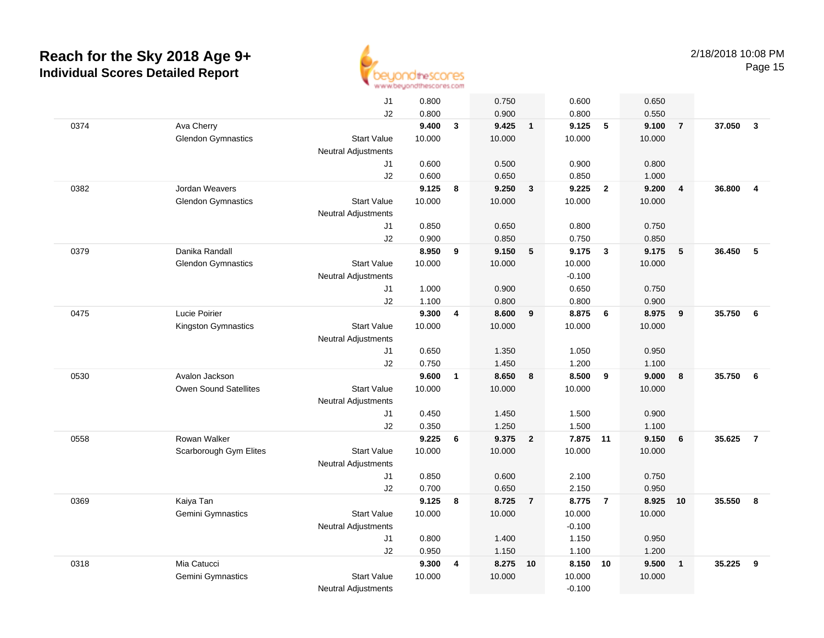

|      |                           | J <sub>1</sub>             | 0.800          |                         | 0.750          |                | 0.600          |                         | 0.650           |                |        |                         |
|------|---------------------------|----------------------------|----------------|-------------------------|----------------|----------------|----------------|-------------------------|-----------------|----------------|--------|-------------------------|
|      |                           | J2                         | 0.800          |                         | 0.900          |                | 0.800          |                         | 0.550           |                |        |                         |
| 0374 | Ava Cherry                |                            | 9.400          | $\mathbf{3}$            | 9.425          | $\overline{1}$ | 9.125          | 5                       | 9.100           | $\overline{7}$ | 37.050 | $\overline{\mathbf{3}}$ |
|      | <b>Glendon Gymnastics</b> | <b>Start Value</b>         | 10.000         |                         | 10.000         |                | 10.000         |                         | 10.000          |                |        |                         |
|      |                           | <b>Neutral Adjustments</b> |                |                         |                |                |                |                         |                 |                |        |                         |
|      |                           | J1                         | 0.600          |                         | 0.500          |                | 0.900          |                         | 0.800           |                |        |                         |
|      |                           | J2                         | 0.600          |                         | 0.650          |                | 0.850          |                         | 1.000           |                |        |                         |
| 0382 | Jordan Weavers            |                            | 9.125          | 8                       | 9.250          | $\mathbf{3}$   | 9.225          | $\overline{2}$          | 9.200           | $\overline{4}$ | 36.800 | $\overline{4}$          |
|      | <b>Glendon Gymnastics</b> | <b>Start Value</b>         | 10.000         |                         | 10.000         |                | 10.000         |                         | 10.000          |                |        |                         |
|      |                           | Neutral Adjustments        |                |                         |                |                |                |                         |                 |                |        |                         |
|      |                           | J1                         | 0.850          |                         | 0.650          |                | 0.800          |                         | 0.750           |                |        |                         |
|      |                           | J2                         | 0.900          |                         | 0.850          |                | 0.750          |                         | 0.850           |                |        |                         |
| 0379 | Danika Randall            |                            | 8.950          | 9                       | 9.150          | $-5$           | 9.175          | $\overline{\mathbf{3}}$ | 9.175           | 5              | 36.450 | 5                       |
|      | <b>Glendon Gymnastics</b> | <b>Start Value</b>         | 10.000         |                         | 10.000         |                | 10.000         |                         | 10.000          |                |        |                         |
|      |                           | <b>Neutral Adjustments</b> |                |                         |                |                | $-0.100$       |                         |                 |                |        |                         |
|      |                           | J1                         | 1.000          |                         | 0.900          |                | 0.650          |                         | 0.750           |                |        |                         |
|      |                           | J2                         | 1.100          |                         | 0.800          |                | 0.800          |                         | 0.900           |                |        |                         |
| 0475 | Lucie Poirier             |                            | 9.300          | $\overline{\mathbf{4}}$ | 8.600          | 9              | 8.875          | 6                       | 8.975           | 9              | 35.750 | 6                       |
|      | Kingston Gymnastics       | <b>Start Value</b>         | 10.000         |                         | 10.000         |                | 10.000         |                         | 10.000          |                |        |                         |
|      |                           | <b>Neutral Adjustments</b> |                |                         |                |                |                |                         |                 |                |        |                         |
|      |                           | J1                         | 0.650          |                         | 1.350          |                | 1.050          |                         | 0.950           |                |        |                         |
|      |                           | J2                         | 0.750          |                         | 1.450          |                | 1.200          |                         | 1.100           |                |        |                         |
| 0530 | Avalon Jackson            |                            | 9.600          | $\mathbf{1}$            | 8.650          | 8              | 8.500          | 9                       | 9.000           | 8              | 35.750 | $6\phantom{.0}6$        |
|      | Owen Sound Satellites     | <b>Start Value</b>         | 10.000         |                         | 10.000         |                | 10.000         |                         | 10.000          |                |        |                         |
|      |                           | Neutral Adjustments        |                |                         |                |                |                |                         |                 |                |        |                         |
|      |                           | J1                         | 0.450          |                         | 1.450          |                | 1.500          |                         | 0.900           |                |        |                         |
|      | Rowan Walker              | J2                         | 0.350<br>9.225 |                         | 1.250<br>9.375 |                | 1.500<br>7.875 |                         | 1.100           |                | 35.625 | $\overline{7}$          |
| 0558 |                           | <b>Start Value</b>         | 10.000         | 6                       | 10.000         | $\overline{2}$ | 10.000         | 11                      | 9.150<br>10.000 | 6              |        |                         |
|      | Scarborough Gym Elites    | Neutral Adjustments        |                |                         |                |                |                |                         |                 |                |        |                         |
|      |                           | J1                         | 0.850          |                         | 0.600          |                | 2.100          |                         | 0.750           |                |        |                         |
|      |                           | J2                         | 0.700          |                         | 0.650          |                | 2.150          |                         | 0.950           |                |        |                         |
| 0369 | Kaiya Tan                 |                            | 9.125          | 8                       | 8.725          | $\overline{7}$ | 8.775          | $\overline{7}$          | 8.925           | 10             | 35.550 | 8                       |
|      | Gemini Gymnastics         | <b>Start Value</b>         | 10.000         |                         | 10.000         |                | 10.000         |                         | 10.000          |                |        |                         |
|      |                           | <b>Neutral Adjustments</b> |                |                         |                |                | $-0.100$       |                         |                 |                |        |                         |
|      |                           | J1                         | 0.800          |                         | 1.400          |                | 1.150          |                         | 0.950           |                |        |                         |
|      |                           | J2                         | 0.950          |                         | 1.150          |                | 1.100          |                         | 1.200           |                |        |                         |
| 0318 | Mia Catucci               |                            | 9.300          | 4                       | 8.275          | 10             | 8.150          | 10                      | 9.500           | $\mathbf{1}$   | 35.225 | 9                       |
|      | Gemini Gymnastics         | <b>Start Value</b>         | 10.000         |                         | 10.000         |                | 10.000         |                         | 10.000          |                |        |                         |
|      |                           | <b>Neutral Adjustments</b> |                |                         |                |                | $-0.100$       |                         |                 |                |        |                         |
|      |                           |                            |                |                         |                |                |                |                         |                 |                |        |                         |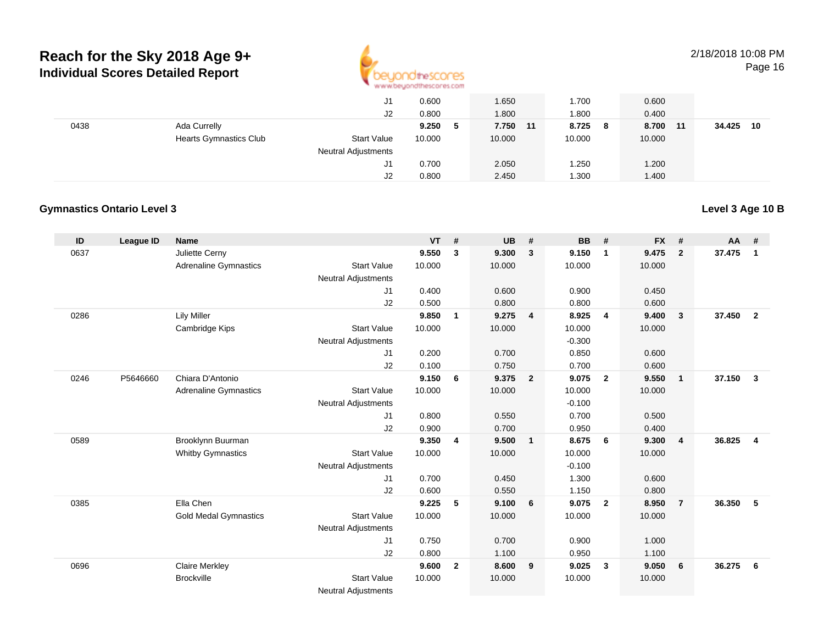

|      |                                               | J1<br>J2                               | 0.600<br>0.800  |   | 1.650<br>0.800     | 1.700<br>.800          | 0.600<br>0.400        |              |
|------|-----------------------------------------------|----------------------------------------|-----------------|---|--------------------|------------------------|-----------------------|--------------|
| 0438 | Ada Currelly<br><b>Hearts Gymnastics Club</b> | <b>Start Value</b>                     | 9.250<br>10.000 | 5 | 7.750 11<br>10.000 | 8.725<br>- 8<br>10.000 | 8.700<br>11<br>10.000 | 34.425<br>10 |
|      |                                               | <b>Neutral Adjustments</b><br>J1<br>J2 | 0.700<br>0.800  |   | 2.050<br>2.450     | 1.250<br>.300          | 1.200<br>1.400        |              |

#### **Gymnastics Ontario Level 3**

#### **ID League ID Name VT # UB # BB # FX # AA #** 0637 Juliette Cerny **9.550 <sup>3</sup> 9.300 <sup>3</sup> 9.150 <sup>1</sup> 9.475 <sup>2</sup> 37.475 <sup>1</sup>** Adrenaline Gymnastics Start Valuee 10.000 10.000 10.000 10.000 Neutral Adjustments J1 0.400 0.600 0.900 0.450 J2 0.500 0.800 0.800 0.600 0286 Lily Miller **9.850 <sup>1</sup> 9.275 <sup>4</sup> 8.925 <sup>4</sup> 9.400 <sup>3</sup> 37.450 <sup>2</sup>** Cambridge Kips Start Valuee 10.000 10.000 10.000 10.000 Neutral Adjustments $-0.300$ 0.850 J1 0.200 0.700 0.850 0.600 J2 0.100 0.750 0.700 0.600 0246 P5646660 Chiara D'Antonio **9.150 <sup>6</sup> 9.375 <sup>2</sup> 9.075 <sup>2</sup> 9.550 <sup>1</sup> 37.150 <sup>3</sup>** Adrenaline Gymnastics Start Valuee 10.000 10.000 10.000 10.000 Neutral Adjustments $\sim$  -0.100 0.700 J1 0.800 0.550 0.700 0.500 J2 0.900 0.700 0.950 0.400 0589 Brooklynn Buurman **9.350 <sup>4</sup> 9.500 <sup>1</sup> 8.675 <sup>6</sup> 9.300 <sup>4</sup> 36.825 <sup>4</sup>** Whitby Gymnastics Start Valuee 10.000 10.000 10.000 10.000 Neutral Adjustments $\sim$  -0.100 1.300 J1 0.700 0.450 1.300 0.600 J2 0.600 0.550 1.150 0.800 0385 Ella Chen **9.225 <sup>5</sup> 9.100 <sup>6</sup> 9.075 <sup>2</sup> 8.950 <sup>7</sup> 36.350 <sup>5</sup>** Gold Medal Gymnastics Start Valuee 10.000 10.000 10.000 10.000 Neutral Adjustments J1 0.750 0.700 0.900 1.000 J2 0.800 1.100 0.950 1.100 0696 Claire Merkley **9.600 <sup>2</sup> 8.600 <sup>9</sup> 9.025 <sup>3</sup> 9.050 <sup>6</sup> 36.275 <sup>6</sup> Brockville**  Start Value 10.000 10.000 10.000 10.000 Neutral Adjustments

**Level 3 Age 10 B**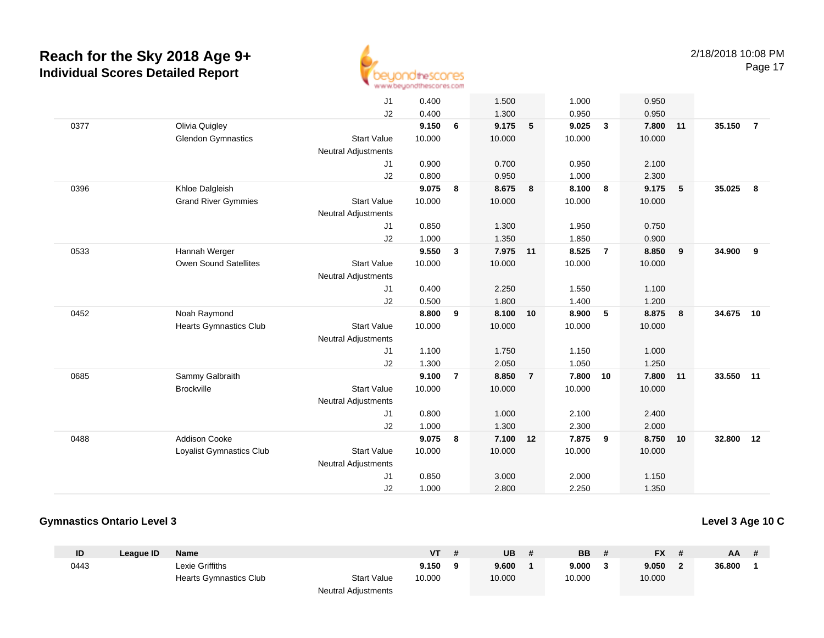

|      |                               | J1                         | 0.400  |                | 1.500    |                | 1.000  |                | 0.950  |    |           |                |
|------|-------------------------------|----------------------------|--------|----------------|----------|----------------|--------|----------------|--------|----|-----------|----------------|
|      |                               | J2                         | 0.400  |                | 1.300    |                | 0.950  |                | 0.950  |    |           |                |
| 0377 | Olivia Quigley                |                            | 9.150  | 6              | 9.175    | 5              | 9.025  | $\mathbf{3}$   | 7.800  | 11 | 35.150    | $\overline{7}$ |
|      | <b>Glendon Gymnastics</b>     | <b>Start Value</b>         | 10.000 |                | 10.000   |                | 10.000 |                | 10.000 |    |           |                |
|      |                               | <b>Neutral Adjustments</b> |        |                |          |                |        |                |        |    |           |                |
|      |                               | J1                         | 0.900  |                | 0.700    |                | 0.950  |                | 2.100  |    |           |                |
|      |                               | J <sub>2</sub>             | 0.800  |                | 0.950    |                | 1.000  |                | 2.300  |    |           |                |
| 0396 | Khloe Dalgleish               |                            | 9.075  | 8              | 8.675    | 8              | 8.100  | 8              | 9.175  | 5  | 35.025    | 8              |
|      | <b>Grand River Gymmies</b>    | <b>Start Value</b>         | 10.000 |                | 10.000   |                | 10.000 |                | 10.000 |    |           |                |
|      |                               | <b>Neutral Adjustments</b> |        |                |          |                |        |                |        |    |           |                |
|      |                               | J1                         | 0.850  |                | 1.300    |                | 1.950  |                | 0.750  |    |           |                |
|      |                               | J2                         | 1.000  |                | 1.350    |                | 1.850  |                | 0.900  |    |           |                |
| 0533 | Hannah Werger                 |                            | 9.550  | $\mathbf{3}$   | 7.975 11 |                | 8.525  | $\overline{7}$ | 8.850  | 9  | 34.900    | 9              |
|      | Owen Sound Satellites         | <b>Start Value</b>         | 10.000 |                | 10.000   |                | 10.000 |                | 10.000 |    |           |                |
|      |                               | Neutral Adjustments        |        |                |          |                |        |                |        |    |           |                |
|      |                               | J1                         | 0.400  |                | 2.250    |                | 1.550  |                | 1.100  |    |           |                |
|      |                               | J2                         | 0.500  |                | 1.800    |                | 1.400  |                | 1.200  |    |           |                |
| 0452 | Noah Raymond                  |                            | 8.800  | 9              | 8.100    | 10             | 8.900  | 5              | 8.875  | 8  | 34.675 10 |                |
|      | <b>Hearts Gymnastics Club</b> | <b>Start Value</b>         | 10.000 |                | 10.000   |                | 10.000 |                | 10.000 |    |           |                |
|      |                               | <b>Neutral Adjustments</b> |        |                |          |                |        |                |        |    |           |                |
|      |                               | J <sub>1</sub>             | 1.100  |                | 1.750    |                | 1.150  |                | 1.000  |    |           |                |
|      |                               | J2                         | 1.300  |                | 2.050    |                | 1.050  |                | 1.250  |    |           |                |
| 0685 | Sammy Galbraith               |                            | 9.100  | $\overline{7}$ | 8.850    | $\overline{7}$ | 7.800  | 10             | 7.800  | 11 | 33.550    | 11             |
|      | <b>Brockville</b>             | <b>Start Value</b>         | 10.000 |                | 10.000   |                | 10.000 |                | 10.000 |    |           |                |
|      |                               | <b>Neutral Adjustments</b> |        |                |          |                |        |                |        |    |           |                |
|      |                               | J <sub>1</sub>             | 0.800  |                | 1.000    |                | 2.100  |                | 2.400  |    |           |                |
|      |                               | J2                         | 1.000  |                | 1.300    |                | 2.300  |                | 2.000  |    |           |                |
| 0488 | <b>Addison Cooke</b>          |                            | 9.075  | 8              | 7.100    | 12             | 7.875  | 9              | 8.750  | 10 | 32.800    | 12             |
|      | Loyalist Gymnastics Club      | <b>Start Value</b>         | 10.000 |                | 10.000   |                | 10.000 |                | 10.000 |    |           |                |
|      |                               | <b>Neutral Adjustments</b> |        |                |          |                |        |                |        |    |           |                |
|      |                               | J1                         | 0.850  |                | 3.000    |                | 2.000  |                | 1.150  |    |           |                |
|      |                               | J2                         | 1.000  |                | 2.800    |                | 2.250  |                | 1.350  |    |           |                |

#### **Gymnastics Ontario Level 3**

**Level 3 Age 10 C**

| ID   | League ID | <b>Name</b>            |                     | VT     | UB     | <b>BB</b> | <b>FX</b> | AA.    | # |
|------|-----------|------------------------|---------------------|--------|--------|-----------|-----------|--------|---|
| 0443 |           | ∟exie Griffiths        |                     | 9.150  | 9.600  | 9.000     | 9.050     | 36.800 |   |
|      |           | Hearts Gymnastics Club | <b>Start Value</b>  | 10.000 | 10.000 | 10.000    | 10.000    |        |   |
|      |           |                        | Neutral Adjustments |        |        |           |           |        |   |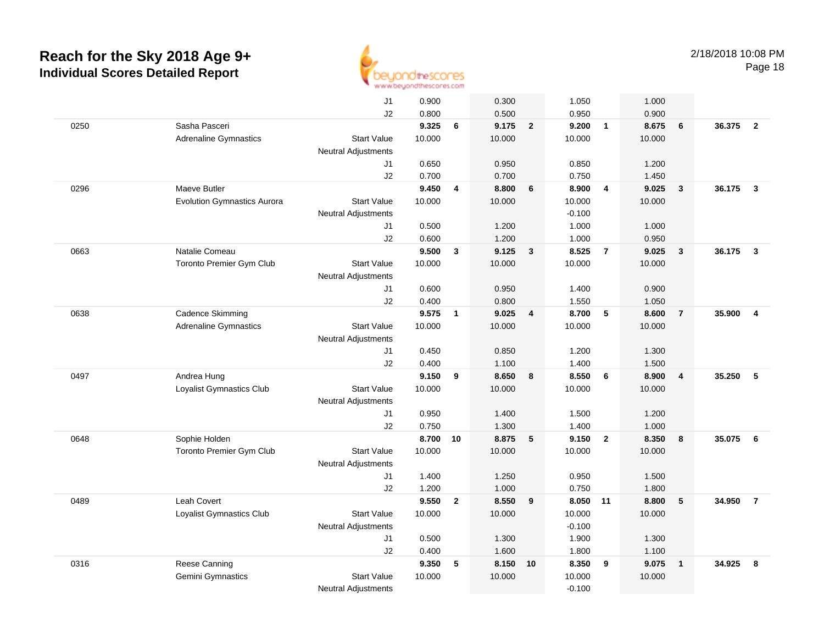

|      |                                         | J1                         | 0.900          |                | 0.300          |                         | 1.050          |                | 1.000          |                         |        |                         |
|------|-----------------------------------------|----------------------------|----------------|----------------|----------------|-------------------------|----------------|----------------|----------------|-------------------------|--------|-------------------------|
|      |                                         | J2                         | 0.800          |                | 0.500          |                         | 0.950          |                | 0.900          |                         |        |                         |
| 0250 | Sasha Pasceri                           |                            | 9.325          | 6              | 9.175          | $\overline{\mathbf{2}}$ | 9.200          | $\overline{1}$ | 8.675          | 6                       | 36.375 | $\overline{\mathbf{2}}$ |
|      | <b>Adrenaline Gymnastics</b>            | <b>Start Value</b>         | 10.000         |                | 10.000         |                         | 10.000         |                | 10.000         |                         |        |                         |
|      |                                         | <b>Neutral Adjustments</b> |                |                |                |                         |                |                |                |                         |        |                         |
|      |                                         | J1                         | 0.650          |                | 0.950          |                         | 0.850          |                | 1.200          |                         |        |                         |
|      |                                         | J2                         | 0.700          |                | 0.700          |                         | 0.750          |                | 1.450          |                         |        |                         |
| 0296 | Maeve Butler                            |                            | 9.450          | 4              | 8.800          | $6\phantom{1}6$         | 8.900          | $\overline{4}$ | 9.025          | $\overline{\mathbf{3}}$ | 36.175 | 3                       |
|      | <b>Evolution Gymnastics Aurora</b>      | <b>Start Value</b>         | 10.000         |                | 10.000         |                         | 10.000         |                | 10.000         |                         |        |                         |
|      |                                         | <b>Neutral Adjustments</b> |                |                |                |                         | $-0.100$       |                |                |                         |        |                         |
|      |                                         | J1                         | 0.500          |                | 1.200          |                         | 1.000          |                | 1.000          |                         |        |                         |
|      |                                         | J2                         | 0.600          |                | 1.200          |                         | 1.000          |                | 0.950          |                         |        |                         |
| 0663 | Natalie Comeau                          |                            | 9.500          | 3              | 9.125          | $\mathbf{3}$            | 8.525          | $\overline{7}$ | 9.025          | $\overline{\mathbf{3}}$ | 36.175 | 3                       |
|      | <b>Toronto Premier Gym Club</b>         | <b>Start Value</b>         | 10.000         |                | 10.000         |                         | 10.000         |                | 10.000         |                         |        |                         |
|      |                                         | <b>Neutral Adjustments</b> |                |                |                |                         |                |                |                |                         |        |                         |
|      |                                         | J1                         | 0.600          |                | 0.950          |                         | 1.400          |                | 0.900          |                         |        |                         |
|      |                                         | J2                         | 0.400          |                | 0.800          |                         | 1.550          |                | 1.050          |                         |        |                         |
| 0638 | Cadence Skimming                        |                            | 9.575          | $\overline{1}$ | 9.025          | $\overline{4}$          | 8.700          | 5              | 8.600          | $\overline{7}$          | 35.900 | $\overline{4}$          |
|      | <b>Adrenaline Gymnastics</b>            | <b>Start Value</b>         | 10.000         |                | 10.000         |                         | 10.000         |                | 10.000         |                         |        |                         |
|      |                                         | <b>Neutral Adjustments</b> |                |                |                |                         |                |                |                |                         |        |                         |
|      |                                         | J1                         | 0.450          |                | 0.850          |                         | 1.200          |                | 1.300          |                         |        |                         |
| 0497 |                                         | J2                         | 0.400<br>9.150 | 9              | 1.100<br>8.650 | 8                       | 1.400<br>8.550 | 6              | 1.500<br>8.900 | $\overline{4}$          | 35.250 | 5                       |
|      | Andrea Hung<br>Loyalist Gymnastics Club | <b>Start Value</b>         |                |                |                |                         |                |                |                |                         |        |                         |
|      |                                         |                            | 10.000         |                | 10.000         |                         | 10.000         |                | 10.000         |                         |        |                         |
|      |                                         | Neutral Adjustments<br>J1  | 0.950          |                | 1.400          |                         | 1.500          |                | 1.200          |                         |        |                         |
|      |                                         | J2                         | 0.750          |                | 1.300          |                         | 1.400          |                | 1.000          |                         |        |                         |
| 0648 | Sophie Holden                           |                            | 8.700          | 10             | 8.875          | 5                       | 9.150          | $\overline{2}$ | 8.350          | 8                       | 35.075 | - 6                     |
|      | Toronto Premier Gym Club                | <b>Start Value</b>         | 10.000         |                | 10.000         |                         | 10.000         |                | 10.000         |                         |        |                         |
|      |                                         | <b>Neutral Adjustments</b> |                |                |                |                         |                |                |                |                         |        |                         |
|      |                                         | J1                         | 1.400          |                | 1.250          |                         | 0.950          |                | 1.500          |                         |        |                         |
|      |                                         | J2                         | 1.200          |                | 1.000          |                         | 0.750          |                | 1.800          |                         |        |                         |
| 0489 | Leah Covert                             |                            | 9.550          | $\overline{2}$ | 8.550          | 9                       | 8.050 11       |                | 8.800          | 5                       | 34.950 | $\overline{7}$          |
|      | Loyalist Gymnastics Club                | <b>Start Value</b>         | 10.000         |                | 10.000         |                         | 10.000         |                | 10.000         |                         |        |                         |
|      |                                         | <b>Neutral Adjustments</b> |                |                |                |                         | $-0.100$       |                |                |                         |        |                         |
|      |                                         | J1                         | 0.500          |                | 1.300          |                         | 1.900          |                | 1.300          |                         |        |                         |
|      |                                         | J2                         | 0.400          |                | 1.600          |                         | 1.800          |                | 1.100          |                         |        |                         |
| 0316 | Reese Canning                           |                            | 9.350          | 5              | 8.150          | 10                      | 8.350          | 9              | 9.075          | $\mathbf{1}$            | 34.925 | 8                       |
|      | Gemini Gymnastics                       | <b>Start Value</b>         | 10.000         |                | 10.000         |                         | 10.000         |                | 10.000         |                         |        |                         |
|      |                                         | <b>Neutral Adjustments</b> |                |                |                |                         | $-0.100$       |                |                |                         |        |                         |
|      |                                         |                            |                |                |                |                         |                |                |                |                         |        |                         |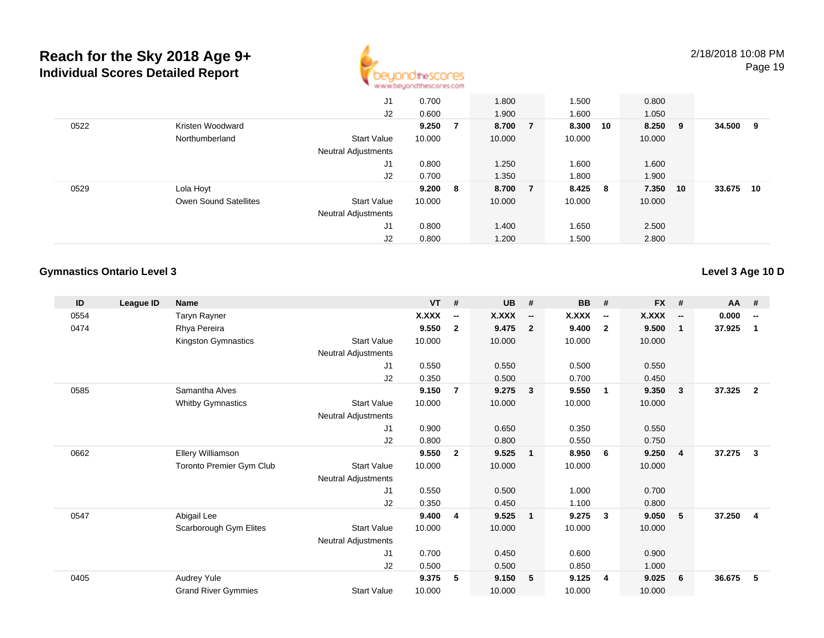

|      |                              | J <sub>1</sub>             | 0.700   |   | 1.800  |                | 1.500  |     | 0.800  |     |        |    |
|------|------------------------------|----------------------------|---------|---|--------|----------------|--------|-----|--------|-----|--------|----|
|      |                              | J2                         | 0.600   |   | 1.900  |                | 1.600  |     | 1.050  |     |        |    |
| 0522 | Kristen Woodward             |                            | 9.250   | 7 | 8.700  | - 7            | 8.300  | 10  | 8.250  | - 9 | 34.500 | 9  |
|      | Northumberland               | <b>Start Value</b>         | 10.000  |   | 10.000 |                | 10.000 |     | 10.000 |     |        |    |
|      |                              | <b>Neutral Adjustments</b> |         |   |        |                |        |     |        |     |        |    |
|      |                              | J1                         | 0.800   |   | 1.250  |                | 1.600  |     | 1.600  |     |        |    |
|      |                              | J2                         | 0.700   |   | 1.350  |                | 1.800  |     | 1.900  |     |        |    |
| 0529 | Lola Hoyt                    |                            | 9.200 8 |   | 8.700  | $\overline{7}$ | 8.425  | - 8 | 7.350  | 10  | 33.675 | 10 |
|      | <b>Owen Sound Satellites</b> | <b>Start Value</b>         | 10.000  |   | 10.000 |                | 10.000 |     | 10.000 |     |        |    |
|      |                              | Neutral Adjustments        |         |   |        |                |        |     |        |     |        |    |
|      |                              | J <sub>1</sub>             | 0.800   |   | 1.400  |                | 1.650  |     | 2.500  |     |        |    |
|      |                              | J2                         | 0.800   |   | 1.200  |                | 1.500  |     | 2.800  |     |        |    |

#### **Gymnastics Ontario Level 3**

**Level 3 Age 10 D**

| ID   | League ID | <b>Name</b>                |                     | <b>VT</b> | #                        | <b>UB</b> | #                        | <b>BB</b> | #                        | <b>FX</b> | #                        | <b>AA</b> | #                        |
|------|-----------|----------------------------|---------------------|-----------|--------------------------|-----------|--------------------------|-----------|--------------------------|-----------|--------------------------|-----------|--------------------------|
| 0554 |           | Taryn Rayner               |                     | X.XXX     | $\overline{\phantom{a}}$ | X.XXX     | $\overline{\phantom{a}}$ | X.XXX     | $\overline{\phantom{a}}$ | X.XXX     | $\overline{\phantom{a}}$ | 0.000     | $\overline{\phantom{a}}$ |
| 0474 |           | Rhya Pereira               |                     | 9.550     | $\mathbf{2}$             | 9.475     | $\overline{2}$           | 9.400     | $\overline{2}$           | 9.500     | $\mathbf{1}$             | 37.925    | 1                        |
|      |           | Kingston Gymnastics        | <b>Start Value</b>  | 10.000    |                          | 10.000    |                          | 10.000    |                          | 10.000    |                          |           |                          |
|      |           |                            | Neutral Adjustments |           |                          |           |                          |           |                          |           |                          |           |                          |
|      |           |                            | J1                  | 0.550     |                          | 0.550     |                          | 0.500     |                          | 0.550     |                          |           |                          |
|      |           |                            | J2                  | 0.350     |                          | 0.500     |                          | 0.700     |                          | 0.450     |                          |           |                          |
| 0585 |           | Samantha Alves             |                     | 9.150     | $\overline{7}$           | 9.275     | $\overline{\mathbf{3}}$  | 9.550     | $\overline{1}$           | 9.350     | 3                        | 37.325    | $\overline{2}$           |
|      |           | <b>Whitby Gymnastics</b>   | <b>Start Value</b>  | 10.000    |                          | 10.000    |                          | 10.000    |                          | 10.000    |                          |           |                          |
|      |           |                            | Neutral Adjustments |           |                          |           |                          |           |                          |           |                          |           |                          |
|      |           |                            | J1                  | 0.900     |                          | 0.650     |                          | 0.350     |                          | 0.550     |                          |           |                          |
|      |           |                            | J <sub>2</sub>      | 0.800     |                          | 0.800     |                          | 0.550     |                          | 0.750     |                          |           |                          |
| 0662 |           | Ellery Williamson          |                     | 9.550     | $\mathbf{2}$             | 9.525     | $\overline{\mathbf{1}}$  | 8.950     | 6                        | 9.250     | $\overline{4}$           | 37.275    | $\mathbf{3}$             |
|      |           | Toronto Premier Gym Club   | <b>Start Value</b>  | 10.000    |                          | 10.000    |                          | 10.000    |                          | 10.000    |                          |           |                          |
|      |           |                            | Neutral Adjustments |           |                          |           |                          |           |                          |           |                          |           |                          |
|      |           |                            | J1                  | 0.550     |                          | 0.500     |                          | 1.000     |                          | 0.700     |                          |           |                          |
|      |           |                            | J <sub>2</sub>      | 0.350     |                          | 0.450     |                          | 1.100     |                          | 0.800     |                          |           |                          |
| 0547 |           | Abigail Lee                |                     | 9.400     | 4                        | 9.525     | $\blacksquare$           | 9.275     | -3                       | 9.050     | 5                        | 37.250    | 4                        |
|      |           | Scarborough Gym Elites     | <b>Start Value</b>  | 10.000    |                          | 10.000    |                          | 10.000    |                          | 10.000    |                          |           |                          |
|      |           |                            | Neutral Adjustments |           |                          |           |                          |           |                          |           |                          |           |                          |
|      |           |                            | J1                  | 0.700     |                          | 0.450     |                          | 0.600     |                          | 0.900     |                          |           |                          |
|      |           |                            | J <sub>2</sub>      | 0.500     |                          | 0.500     |                          | 0.850     |                          | 1.000     |                          |           |                          |
| 0405 |           | Audrey Yule                |                     | 9.375     | 5                        | 9.150     | 5                        | 9.125     | $\overline{4}$           | 9.025     | 6                        | 36.675    | 5                        |
|      |           | <b>Grand River Gymmies</b> | <b>Start Value</b>  | 10.000    |                          | 10.000    |                          | 10.000    |                          | 10.000    |                          |           |                          |